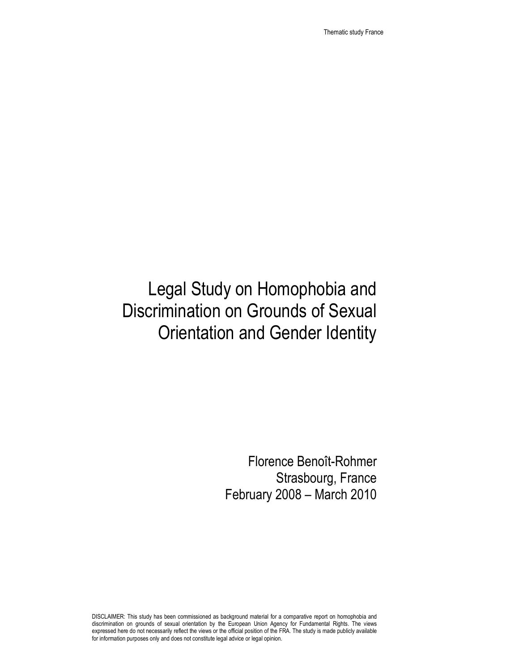Thematic study France

# Legal Study on Homophobia and Discrimination on Grounds of Sexual Orientation and Gender Identity

Florence Benoît-Rohmer Strasbourg, France February 2008 – March 2010

DISCLAIMER: This study has been commissioned as background material for a comparative report on homophobia and discrimination on grounds of sexual orientation by the European Union Agency for Fundamental Rights. The views expressed here do not necessarily reflect the views or the official position of the FRA. The study is made publicly available for information purposes only and does not constitute legal advice or legal opinion.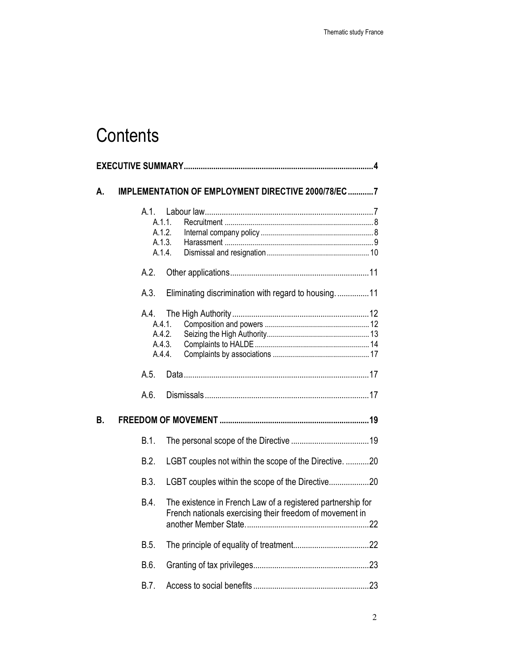# **Contents**

| А. | IMPLEMENTATION OF EMPLOYMENT DIRECTIVE 2000/78/EC7 |                                                 |        |                                                                                                                         |  |
|----|----------------------------------------------------|-------------------------------------------------|--------|-------------------------------------------------------------------------------------------------------------------------|--|
|    |                                                    | $A.1$ .<br>A.1.1.<br>A.1.2.<br>A.1.3.<br>A.1.4. |        |                                                                                                                         |  |
|    |                                                    | A.2.                                            |        |                                                                                                                         |  |
|    |                                                    | A.3.                                            |        | Eliminating discrimination with regard to housing11                                                                     |  |
|    |                                                    | A.4.<br>A.4.1.<br>A.4.2.<br>A.4.4.              | A.4.3. |                                                                                                                         |  |
|    |                                                    | A.5.                                            |        |                                                                                                                         |  |
|    |                                                    | A.6.                                            |        |                                                                                                                         |  |
| В. |                                                    |                                                 |        |                                                                                                                         |  |
|    |                                                    | B.1.                                            |        |                                                                                                                         |  |
|    |                                                    | B.2.                                            |        | LGBT couples not within the scope of the Directive. 20                                                                  |  |
|    |                                                    | B.3.                                            |        | LGBT couples within the scope of the Directive20                                                                        |  |
|    |                                                    | B.4.                                            |        | The existence in French Law of a registered partnership for<br>French nationals exercising their freedom of movement in |  |
|    |                                                    | B.5.                                            |        |                                                                                                                         |  |
|    |                                                    | B.6.                                            |        |                                                                                                                         |  |
|    |                                                    | B.7.                                            |        |                                                                                                                         |  |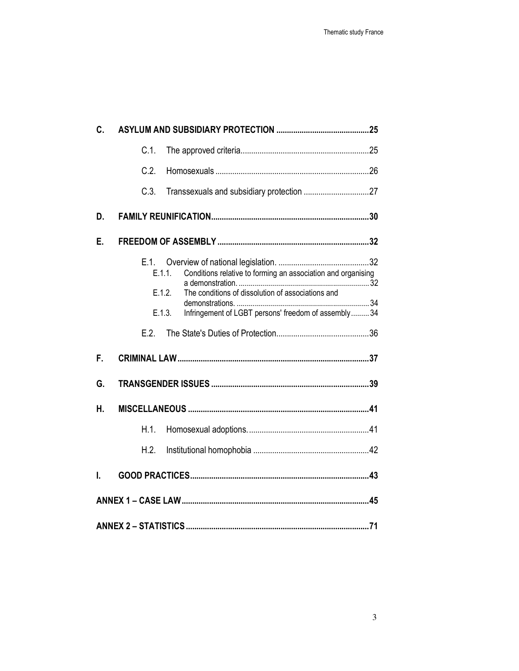| C. |                                                                                                                                                                                                                         |  |  |  |  |  |
|----|-------------------------------------------------------------------------------------------------------------------------------------------------------------------------------------------------------------------------|--|--|--|--|--|
|    | $C.1$ .                                                                                                                                                                                                                 |  |  |  |  |  |
|    | C.2.                                                                                                                                                                                                                    |  |  |  |  |  |
|    | C.3.                                                                                                                                                                                                                    |  |  |  |  |  |
| D. |                                                                                                                                                                                                                         |  |  |  |  |  |
| Е. |                                                                                                                                                                                                                         |  |  |  |  |  |
|    | E.1.<br>Conditions relative to forming an association and organising<br>E.1.1.<br>The conditions of dissolution of associations and<br>E.1.2.<br>Infringement of LGBT persons' freedom of assembly 34<br>E.1.3.<br>E.2. |  |  |  |  |  |
| F. |                                                                                                                                                                                                                         |  |  |  |  |  |
| G. |                                                                                                                                                                                                                         |  |  |  |  |  |
| Η. |                                                                                                                                                                                                                         |  |  |  |  |  |
|    | H.1.                                                                                                                                                                                                                    |  |  |  |  |  |
|    | H.2.                                                                                                                                                                                                                    |  |  |  |  |  |
| I. |                                                                                                                                                                                                                         |  |  |  |  |  |
|    |                                                                                                                                                                                                                         |  |  |  |  |  |
|    |                                                                                                                                                                                                                         |  |  |  |  |  |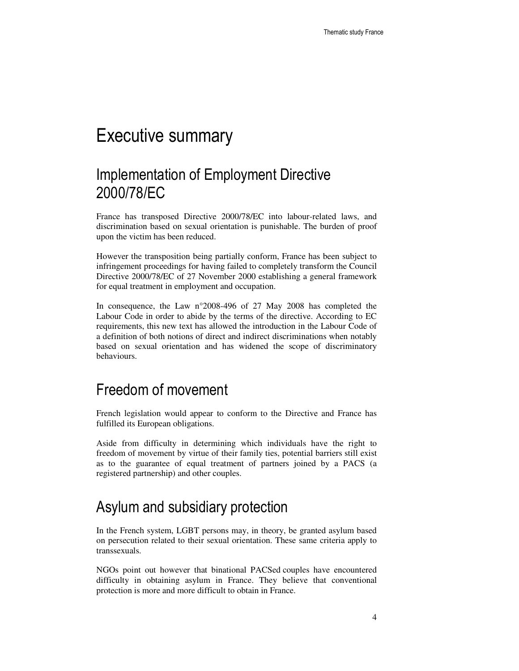# Executive summary

## Implementation of Employment Directive 2000/78/EC

France has transposed Directive 2000/78/EC into labour-related laws, and discrimination based on sexual orientation is punishable. The burden of proof upon the victim has been reduced.

However the transposition being partially conform, France has been subject to infringement proceedings for having failed to completely transform the Council Directive 2000/78/EC of 27 November 2000 establishing a general framework for equal treatment in employment and occupation.

In consequence, the Law n°2008-496 of 27 May 2008 has completed the Labour Code in order to abide by the terms of the directive. According to EC requirements, this new text has allowed the introduction in the Labour Code of a definition of both notions of direct and indirect discriminations when notably based on sexual orientation and has widened the scope of discriminatory behaviours.

### Freedom of movement

French legislation would appear to conform to the Directive and France has fulfilled its European obligations.

Aside from difficulty in determining which individuals have the right to freedom of movement by virtue of their family ties, potential barriers still exist as to the guarantee of equal treatment of partners joined by a PACS (a registered partnership) and other couples.

## Asylum and subsidiary protection

In the French system, LGBT persons may, in theory, be granted asylum based on persecution related to their sexual orientation. These same criteria apply to transsexuals.

NGOs point out however that binational PACSed couples have encountered difficulty in obtaining asylum in France. They believe that conventional protection is more and more difficult to obtain in France.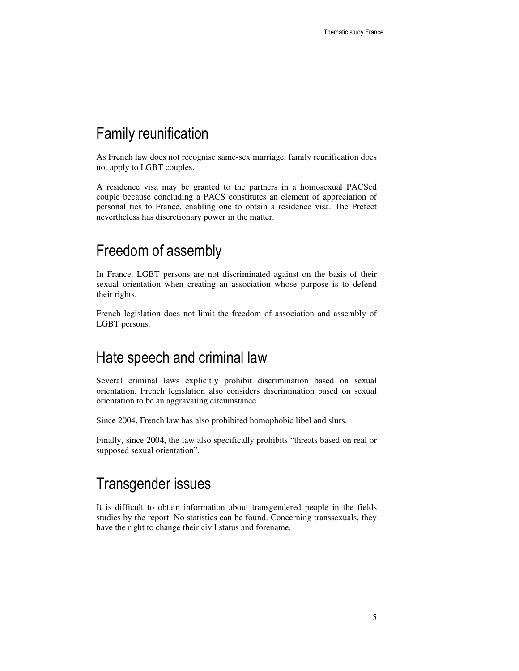## Family reunification

As French law does not recognise same-sex marriage, family reunification does not apply to LGBT couples.

A residence visa may be granted to the partners in a homosexual PACSed couple because concluding a PACS constitutes an element of appreciation of personal ties to France, enabling one to obtain a residence visa. The Prefect nevertheless has discretionary power in the matter.

### Freedom of assembly

In France, LGBT persons are not discriminated against on the basis of their sexual orientation when creating an association whose purpose is to defend their rights.

French legislation does not limit the freedom of association and assembly of LGBT persons.

#### Hate speech and criminal law

Several criminal laws explicitly prohibit discrimination based on sexual orientation. French legislation also considers discrimination based on sexual orientation to be an aggravating circumstance.

Since 2004, French law has also prohibited homophobic libel and slurs.

Finally, since 2004, the law also specifically prohibits "threats based on real or supposed sexual orientation".

## Transgender issues

It is difficult to obtain information about transgendered people in the fields studies by the report. No statistics can be found. Concerning transsexuals, they have the right to change their civil status and forename.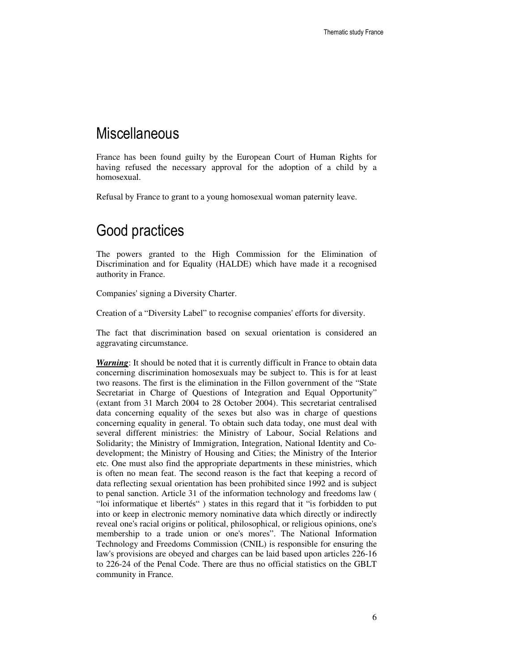#### **Miscellaneous**

France has been found guilty by the European Court of Human Rights for having refused the necessary approval for the adoption of a child by a homosexual.

Refusal by France to grant to a young homosexual woman paternity leave.

### Good practices

The powers granted to the High Commission for the Elimination of Discrimination and for Equality (HALDE) which have made it a recognised authority in France.

Companies' signing a Diversity Charter.

Creation of a "Diversity Label" to recognise companies' efforts for diversity.

The fact that discrimination based on sexual orientation is considered an aggravating circumstance.

*Warning*: It should be noted that it is currently difficult in France to obtain data concerning discrimination homosexuals may be subject to. This is for at least two reasons. The first is the elimination in the Fillon government of the "State Secretariat in Charge of Questions of Integration and Equal Opportunity" (extant from 31 March 2004 to 28 October 2004). This secretariat centralised data concerning equality of the sexes but also was in charge of questions concerning equality in general. To obtain such data today, one must deal with several different ministries: the Ministry of Labour, Social Relations and Solidarity; the Ministry of Immigration, Integration, National Identity and Codevelopment; the Ministry of Housing and Cities; the Ministry of the Interior etc. One must also find the appropriate departments in these ministries, which is often no mean feat. The second reason is the fact that keeping a record of data reflecting sexual orientation has been prohibited since 1992 and is subject to penal sanction. Article 31 of the information technology and freedoms law ( "loi informatique et libertés" ) states in this regard that it "is forbidden to put into or keep in electronic memory nominative data which directly or indirectly reveal one's racial origins or political, philosophical, or religious opinions, one's membership to a trade union or one's mores". The National Information Technology and Freedoms Commission (CNIL) is responsible for ensuring the law's provisions are obeyed and charges can be laid based upon articles 226-16 to 226-24 of the Penal Code. There are thus no official statistics on the GBLT community in France.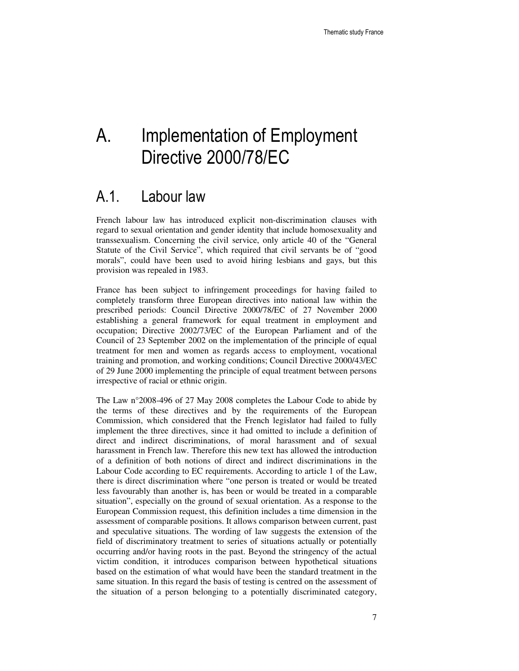# A. Implementation of Employment Directive 2000/78/EC

### A.1. Labour law

French labour law has introduced explicit non-discrimination clauses with regard to sexual orientation and gender identity that include homosexuality and transsexualism. Concerning the civil service, only article 40 of the "General Statute of the Civil Service", which required that civil servants be of "good morals", could have been used to avoid hiring lesbians and gays, but this provision was repealed in 1983.

France has been subject to infringement proceedings for having failed to completely transform three European directives into national law within the prescribed periods: Council Directive 2000/78/EC of 27 November 2000 establishing a general framework for equal treatment in employment and occupation; Directive 2002/73/EC of the European Parliament and of the Council of 23 September 2002 on the implementation of the principle of equal treatment for men and women as regards access to employment, vocational training and promotion, and working conditions; Council Directive 2000/43/EC of 29 June 2000 implementing the principle of equal treatment between persons irrespective of racial or ethnic origin.

The Law n°2008-496 of 27 May 2008 completes the Labour Code to abide by the terms of these directives and by the requirements of the European Commission, which considered that the French legislator had failed to fully implement the three directives, since it had omitted to include a definition of direct and indirect discriminations, of moral harassment and of sexual harassment in French law. Therefore this new text has allowed the introduction of a definition of both notions of direct and indirect discriminations in the Labour Code according to EC requirements. According to article 1 of the Law, there is direct discrimination where "one person is treated or would be treated less favourably than another is, has been or would be treated in a comparable situation", especially on the ground of sexual orientation. As a response to the European Commission request, this definition includes a time dimension in the assessment of comparable positions. It allows comparison between current, past and speculative situations. The wording of law suggests the extension of the field of discriminatory treatment to series of situations actually or potentially occurring and/or having roots in the past. Beyond the stringency of the actual victim condition, it introduces comparison between hypothetical situations based on the estimation of what would have been the standard treatment in the same situation. In this regard the basis of testing is centred on the assessment of the situation of a person belonging to a potentially discriminated category,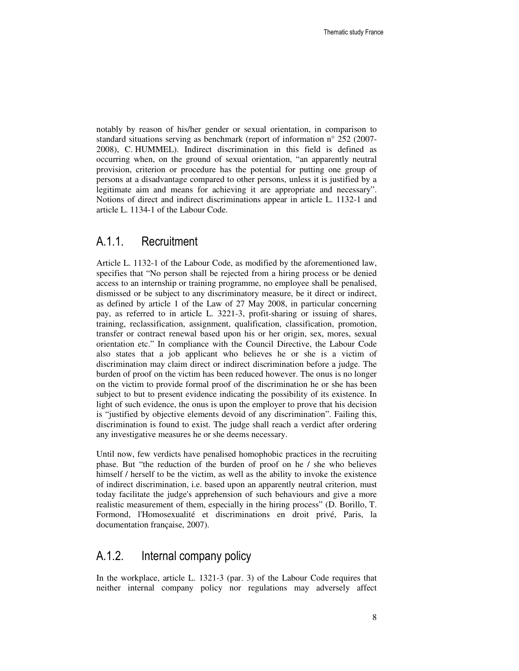notably by reason of his/her gender or sexual orientation, in comparison to standard situations serving as benchmark (report of information n° 252 (2007- 2008), C. HUMMEL). Indirect discrimination in this field is defined as occurring when, on the ground of sexual orientation, "an apparently neutral provision, criterion or procedure has the potential for putting one group of persons at a disadvantage compared to other persons, unless it is justified by a legitimate aim and means for achieving it are appropriate and necessary". Notions of direct and indirect discriminations appear in article L. 1132-1 and article L. 1134-1 of the Labour Code.

#### A.1.1. Recruitment

Article L. 1132-1 of the Labour Code, as modified by the aforementioned law, specifies that "No person shall be rejected from a hiring process or be denied access to an internship or training programme, no employee shall be penalised, dismissed or be subject to any discriminatory measure, be it direct or indirect, as defined by article 1 of the Law of 27 May 2008, in particular concerning pay, as referred to in article L. 3221-3, profit-sharing or issuing of shares, training, reclassification, assignment, qualification, classification, promotion, transfer or contract renewal based upon his or her origin, sex, mores, sexual orientation etc." In compliance with the Council Directive, the Labour Code also states that a job applicant who believes he or she is a victim of discrimination may claim direct or indirect discrimination before a judge. The burden of proof on the victim has been reduced however. The onus is no longer on the victim to provide formal proof of the discrimination he or she has been subject to but to present evidence indicating the possibility of its existence. In light of such evidence, the onus is upon the employer to prove that his decision is "justified by objective elements devoid of any discrimination". Failing this, discrimination is found to exist. The judge shall reach a verdict after ordering any investigative measures he or she deems necessary.

Until now, few verdicts have penalised homophobic practices in the recruiting phase. But "the reduction of the burden of proof on he / she who believes himself / herself to be the victim, as well as the ability to invoke the existence of indirect discrimination, i.e. based upon an apparently neutral criterion, must today facilitate the judge's apprehension of such behaviours and give a more realistic measurement of them, especially in the hiring process" (D. Borillo, T. Formond, l'Homosexualité et discriminations en droit privé, Paris, la documentation française, 2007).

#### A.1.2. Internal company policy

In the workplace, article L. 1321-3 (par. 3) of the Labour Code requires that neither internal company policy nor regulations may adversely affect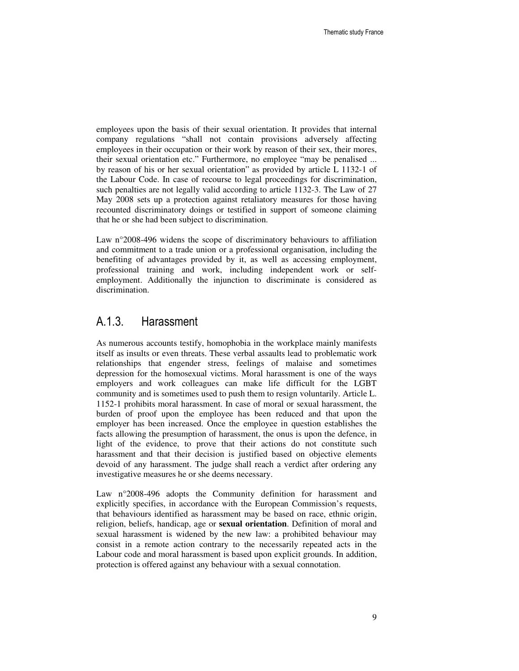employees upon the basis of their sexual orientation. It provides that internal company regulations "shall not contain provisions adversely affecting employees in their occupation or their work by reason of their sex, their mores, their sexual orientation etc." Furthermore, no employee "may be penalised ... by reason of his or her sexual orientation" as provided by article L 1132-1 of the Labour Code. In case of recourse to legal proceedings for discrimination, such penalties are not legally valid according to article 1132-3. The Law of 27 May 2008 sets up a protection against retaliatory measures for those having recounted discriminatory doings or testified in support of someone claiming that he or she had been subject to discrimination.

Law n°2008-496 widens the scope of discriminatory behaviours to affiliation and commitment to a trade union or a professional organisation, including the benefiting of advantages provided by it, as well as accessing employment, professional training and work, including independent work or selfemployment. Additionally the injunction to discriminate is considered as discrimination.

#### A.1.3. Harassment

As numerous accounts testify, homophobia in the workplace mainly manifests itself as insults or even threats. These verbal assaults lead to problematic work relationships that engender stress, feelings of malaise and sometimes depression for the homosexual victims. Moral harassment is one of the ways employers and work colleagues can make life difficult for the LGBT community and is sometimes used to push them to resign voluntarily. Article L. 1152-1 prohibits moral harassment. In case of moral or sexual harassment, the burden of proof upon the employee has been reduced and that upon the employer has been increased. Once the employee in question establishes the facts allowing the presumption of harassment, the onus is upon the defence, in light of the evidence, to prove that their actions do not constitute such harassment and that their decision is justified based on objective elements devoid of any harassment. The judge shall reach a verdict after ordering any investigative measures he or she deems necessary.

Law n°2008-496 adopts the Community definition for harassment and explicitly specifies, in accordance with the European Commission's requests, that behaviours identified as harassment may be based on race, ethnic origin, religion, beliefs, handicap, age or **sexual orientation**. Definition of moral and sexual harassment is widened by the new law: a prohibited behaviour may consist in a remote action contrary to the necessarily repeated acts in the Labour code and moral harassment is based upon explicit grounds. In addition, protection is offered against any behaviour with a sexual connotation.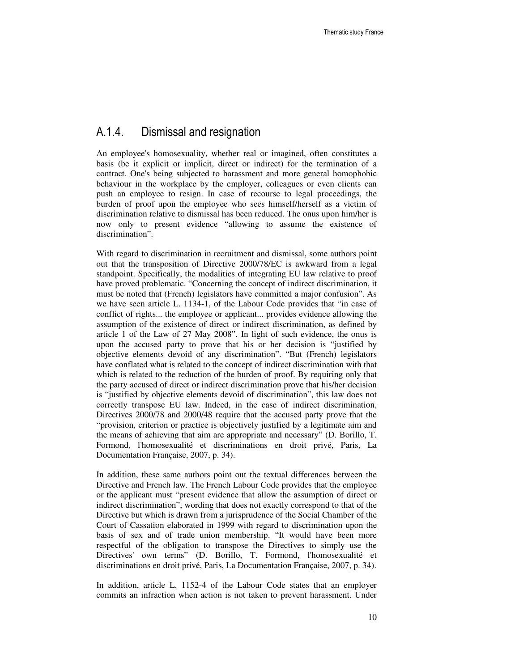#### A.1.4. Dismissal and resignation

An employee's homosexuality, whether real or imagined, often constitutes a basis (be it explicit or implicit, direct or indirect) for the termination of a contract. One's being subjected to harassment and more general homophobic behaviour in the workplace by the employer, colleagues or even clients can push an employee to resign. In case of recourse to legal proceedings, the burden of proof upon the employee who sees himself/herself as a victim of discrimination relative to dismissal has been reduced. The onus upon him/her is now only to present evidence "allowing to assume the existence of discrimination".

With regard to discrimination in recruitment and dismissal, some authors point out that the transposition of Directive 2000/78/EC is awkward from a legal standpoint. Specifically, the modalities of integrating EU law relative to proof have proved problematic. "Concerning the concept of indirect discrimination, it must be noted that (French) legislators have committed a major confusion". As we have seen article L. 1134-1, of the Labour Code provides that "in case of conflict of rights... the employee or applicant... provides evidence allowing the assumption of the existence of direct or indirect discrimination, as defined by article 1 of the Law of 27 May 2008". In light of such evidence, the onus is upon the accused party to prove that his or her decision is "justified by objective elements devoid of any discrimination". "But (French) legislators have conflated what is related to the concept of indirect discrimination with that which is related to the reduction of the burden of proof. By requiring only that the party accused of direct or indirect discrimination prove that his/her decision is "justified by objective elements devoid of discrimination", this law does not correctly transpose EU law. Indeed, in the case of indirect discrimination, Directives 2000/78 and 2000/48 require that the accused party prove that the "provision, criterion or practice is objectively justified by a legitimate aim and the means of achieving that aim are appropriate and necessary" (D. Borillo, T. Formond, l'homosexualité et discriminations en droit privé, Paris, La Documentation Française, 2007, p. 34).

In addition, these same authors point out the textual differences between the Directive and French law. The French Labour Code provides that the employee or the applicant must "present evidence that allow the assumption of direct or indirect discrimination", wording that does not exactly correspond to that of the Directive but which is drawn from a jurisprudence of the Social Chamber of the Court of Cassation elaborated in 1999 with regard to discrimination upon the basis of sex and of trade union membership. "It would have been more respectful of the obligation to transpose the Directives to simply use the Directives' own terms" (D. Borillo, T. Formond, l'homosexualité et discriminations en droit privé, Paris, La Documentation Française, 2007, p. 34).

In addition, article L. 1152-4 of the Labour Code states that an employer commits an infraction when action is not taken to prevent harassment. Under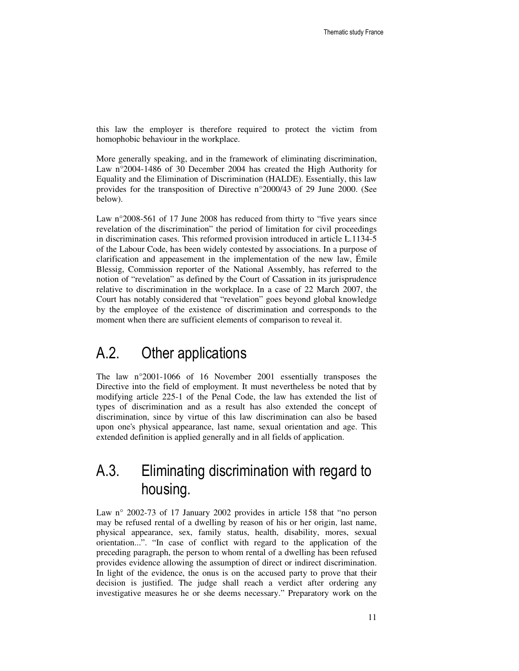this law the employer is therefore required to protect the victim from homophobic behaviour in the workplace.

More generally speaking, and in the framework of eliminating discrimination, Law n°2004-1486 of 30 December 2004 has created the High Authority for Equality and the Elimination of Discrimination (HALDE). Essentially, this law provides for the transposition of Directive n°2000/43 of 29 June 2000. (See below).

Law n°2008-561 of 17 June 2008 has reduced from thirty to "five years since revelation of the discrimination" the period of limitation for civil proceedings in discrimination cases. This reformed provision introduced in article L.1134-5 of the Labour Code, has been widely contested by associations. In a purpose of clarification and appeasement in the implementation of the new law, Émile Blessig, Commission reporter of the National Assembly, has referred to the notion of "revelation" as defined by the Court of Cassation in its jurisprudence relative to discrimination in the workplace. In a case of 22 March 2007, the Court has notably considered that "revelation" goes beyond global knowledge by the employee of the existence of discrimination and corresponds to the moment when there are sufficient elements of comparison to reveal it.

### A.2. Other applications

The law n°2001-1066 of 16 November 2001 essentially transposes the Directive into the field of employment. It must nevertheless be noted that by modifying article 225-1 of the Penal Code, the law has extended the list of types of discrimination and as a result has also extended the concept of discrimination, since by virtue of this law discrimination can also be based upon one's physical appearance, last name, sexual orientation and age. This extended definition is applied generally and in all fields of application.

## A.3. Eliminating discrimination with regard to housing.

Law n° 2002-73 of 17 January 2002 provides in article 158 that "no person may be refused rental of a dwelling by reason of his or her origin, last name, physical appearance, sex, family status, health, disability, mores, sexual orientation...". "In case of conflict with regard to the application of the preceding paragraph, the person to whom rental of a dwelling has been refused provides evidence allowing the assumption of direct or indirect discrimination. In light of the evidence, the onus is on the accused party to prove that their decision is justified. The judge shall reach a verdict after ordering any investigative measures he or she deems necessary." Preparatory work on the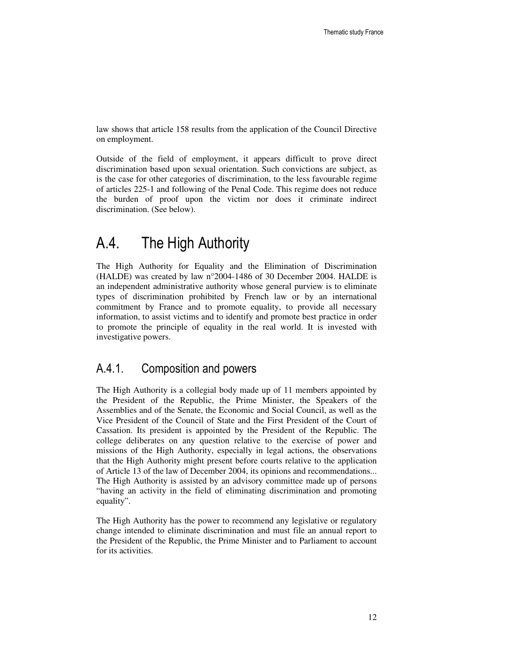law shows that article 158 results from the application of the Council Directive on employment.

Outside of the field of employment, it appears difficult to prove direct discrimination based upon sexual orientation. Such convictions are subject, as is the case for other categories of discrimination, to the less favourable regime of articles 225-1 and following of the Penal Code. This regime does not reduce the burden of proof upon the victim nor does it criminate indirect discrimination. (See below).

### A.4. The High Authority

The High Authority for Equality and the Elimination of Discrimination (HALDE) was created by law n°2004-1486 of 30 December 2004. HALDE is an independent administrative authority whose general purview is to eliminate types of discrimination prohibited by French law or by an international commitment by France and to promote equality, to provide all necessary information, to assist victims and to identify and promote best practice in order to promote the principle of equality in the real world. It is invested with investigative powers.

#### A.4.1. Composition and powers

The High Authority is a collegial body made up of 11 members appointed by the President of the Republic, the Prime Minister, the Speakers of the Assemblies and of the Senate, the Economic and Social Council, as well as the Vice President of the Council of State and the First President of the Court of Cassation. Its president is appointed by the President of the Republic. The college deliberates on any question relative to the exercise of power and missions of the High Authority, especially in legal actions, the observations that the High Authority might present before courts relative to the application of Article 13 of the law of December 2004, its opinions and recommendations... The High Authority is assisted by an advisory committee made up of persons "having an activity in the field of eliminating discrimination and promoting equality".

The High Authority has the power to recommend any legislative or regulatory change intended to eliminate discrimination and must file an annual report to the President of the Republic, the Prime Minister and to Parliament to account for its activities.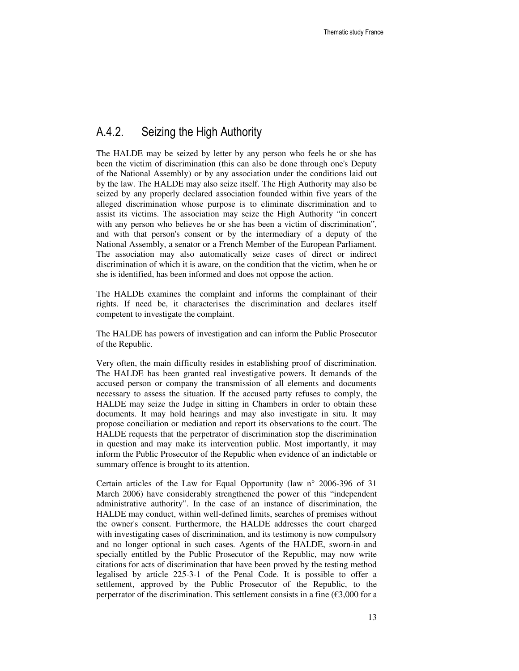#### A.4.2. Seizing the High Authority

The HALDE may be seized by letter by any person who feels he or she has been the victim of discrimination (this can also be done through one's Deputy of the National Assembly) or by any association under the conditions laid out by the law. The HALDE may also seize itself. The High Authority may also be seized by any properly declared association founded within five years of the alleged discrimination whose purpose is to eliminate discrimination and to assist its victims. The association may seize the High Authority "in concert with any person who believes he or she has been a victim of discrimination", and with that person's consent or by the intermediary of a deputy of the National Assembly, a senator or a French Member of the European Parliament. The association may also automatically seize cases of direct or indirect discrimination of which it is aware, on the condition that the victim, when he or she is identified, has been informed and does not oppose the action.

The HALDE examines the complaint and informs the complainant of their rights. If need be, it characterises the discrimination and declares itself competent to investigate the complaint.

The HALDE has powers of investigation and can inform the Public Prosecutor of the Republic.

Very often, the main difficulty resides in establishing proof of discrimination. The HALDE has been granted real investigative powers. It demands of the accused person or company the transmission of all elements and documents necessary to assess the situation. If the accused party refuses to comply, the HALDE may seize the Judge in sitting in Chambers in order to obtain these documents. It may hold hearings and may also investigate in situ. It may propose conciliation or mediation and report its observations to the court. The HALDE requests that the perpetrator of discrimination stop the discrimination in question and may make its intervention public. Most importantly, it may inform the Public Prosecutor of the Republic when evidence of an indictable or summary offence is brought to its attention.

Certain articles of the Law for Equal Opportunity (law n° 2006-396 of 31 March 2006) have considerably strengthened the power of this "independent administrative authority". In the case of an instance of discrimination, the HALDE may conduct, within well-defined limits, searches of premises without the owner's consent. Furthermore, the HALDE addresses the court charged with investigating cases of discrimination, and its testimony is now compulsory and no longer optional in such cases. Agents of the HALDE, sworn-in and specially entitled by the Public Prosecutor of the Republic, may now write citations for acts of discrimination that have been proved by the testing method legalised by article 225-3-1 of the Penal Code. It is possible to offer a settlement, approved by the Public Prosecutor of the Republic, to the perpetrator of the discrimination. This settlement consists in a fine  $(\text{\textsterling}3,000)$  for a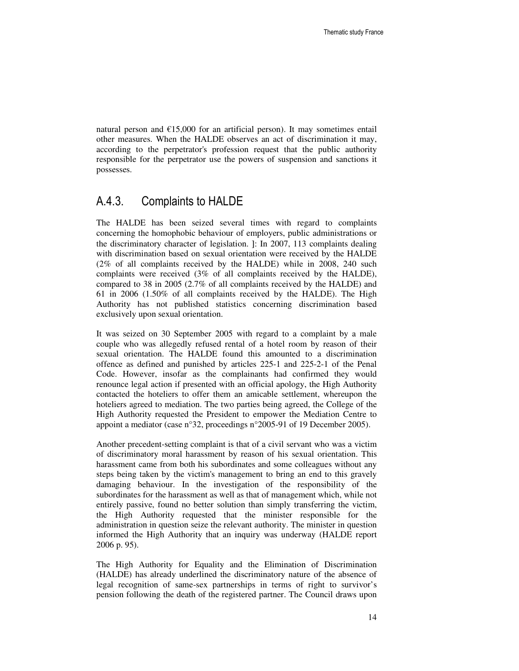natural person and  $E15,000$  for an artificial person). It may sometimes entail other measures. When the HALDE observes an act of discrimination it may, according to the perpetrator's profession request that the public authority responsible for the perpetrator use the powers of suspension and sanctions it possesses.

#### A.4.3. Complaints to HALDE

The HALDE has been seized several times with regard to complaints concerning the homophobic behaviour of employers, public administrations or the discriminatory character of legislation. ]: In 2007, 113 complaints dealing with discrimination based on sexual orientation were received by the HALDE (2% of all complaints received by the HALDE) while in 2008, 240 such complaints were received (3% of all complaints received by the HALDE), compared to 38 in 2005 (2.7% of all complaints received by the HALDE) and 61 in 2006 (1.50% of all complaints received by the HALDE). The High Authority has not published statistics concerning discrimination based exclusively upon sexual orientation.

It was seized on 30 September 2005 with regard to a complaint by a male couple who was allegedly refused rental of a hotel room by reason of their sexual orientation. The HALDE found this amounted to a discrimination offence as defined and punished by articles 225-1 and 225-2-1 of the Penal Code. However, insofar as the complainants had confirmed they would renounce legal action if presented with an official apology, the High Authority contacted the hoteliers to offer them an amicable settlement, whereupon the hoteliers agreed to mediation. The two parties being agreed, the College of the High Authority requested the President to empower the Mediation Centre to appoint a mediator (case  $n^{\circ}32$ , proceedings  $n^{\circ}2005-91$  of 19 December 2005).

Another precedent-setting complaint is that of a civil servant who was a victim of discriminatory moral harassment by reason of his sexual orientation. This harassment came from both his subordinates and some colleagues without any steps being taken by the victim's management to bring an end to this gravely damaging behaviour. In the investigation of the responsibility of the subordinates for the harassment as well as that of management which, while not entirely passive, found no better solution than simply transferring the victim, the High Authority requested that the minister responsible for the administration in question seize the relevant authority. The minister in question informed the High Authority that an inquiry was underway (HALDE report 2006 p. 95).

The High Authority for Equality and the Elimination of Discrimination (HALDE) has already underlined the discriminatory nature of the absence of legal recognition of same-sex partnerships in terms of right to survivor's pension following the death of the registered partner. The Council draws upon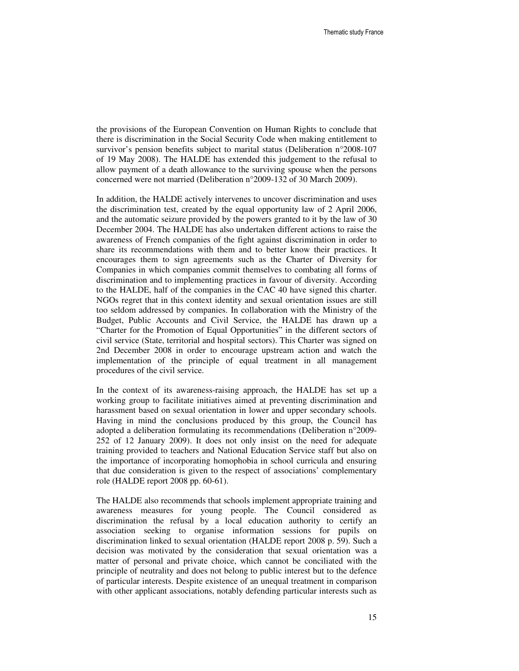the provisions of the European Convention on Human Rights to conclude that there is discrimination in the Social Security Code when making entitlement to survivor's pension benefits subject to marital status (Deliberation n°2008-107 of 19 May 2008). The HALDE has extended this judgement to the refusal to allow payment of a death allowance to the surviving spouse when the persons concerned were not married (Deliberation n°2009-132 of 30 March 2009).

In addition, the HALDE actively intervenes to uncover discrimination and uses the discrimination test, created by the equal opportunity law of 2 April 2006, and the automatic seizure provided by the powers granted to it by the law of 30 December 2004. The HALDE has also undertaken different actions to raise the awareness of French companies of the fight against discrimination in order to share its recommendations with them and to better know their practices. It encourages them to sign agreements such as the Charter of Diversity for Companies in which companies commit themselves to combating all forms of discrimination and to implementing practices in favour of diversity. According to the HALDE, half of the companies in the CAC 40 have signed this charter. NGOs regret that in this context identity and sexual orientation issues are still too seldom addressed by companies. In collaboration with the Ministry of the Budget, Public Accounts and Civil Service, the HALDE has drawn up a "Charter for the Promotion of Equal Opportunities" in the different sectors of civil service (State, territorial and hospital sectors). This Charter was signed on 2nd December 2008 in order to encourage upstream action and watch the implementation of the principle of equal treatment in all management procedures of the civil service.

In the context of its awareness-raising approach, the HALDE has set up a working group to facilitate initiatives aimed at preventing discrimination and harassment based on sexual orientation in lower and upper secondary schools. Having in mind the conclusions produced by this group, the Council has adopted a deliberation formulating its recommendations (Deliberation n°2009- 252 of 12 January 2009). It does not only insist on the need for adequate training provided to teachers and National Education Service staff but also on the importance of incorporating homophobia in school curricula and ensuring that due consideration is given to the respect of associations' complementary role (HALDE report 2008 pp. 60-61).

The HALDE also recommends that schools implement appropriate training and awareness measures for young people. The Council considered as discrimination the refusal by a local education authority to certify an association seeking to organise information sessions for pupils on discrimination linked to sexual orientation (HALDE report 2008 p. 59). Such a decision was motivated by the consideration that sexual orientation was a matter of personal and private choice, which cannot be conciliated with the principle of neutrality and does not belong to public interest but to the defence of particular interests. Despite existence of an unequal treatment in comparison with other applicant associations, notably defending particular interests such as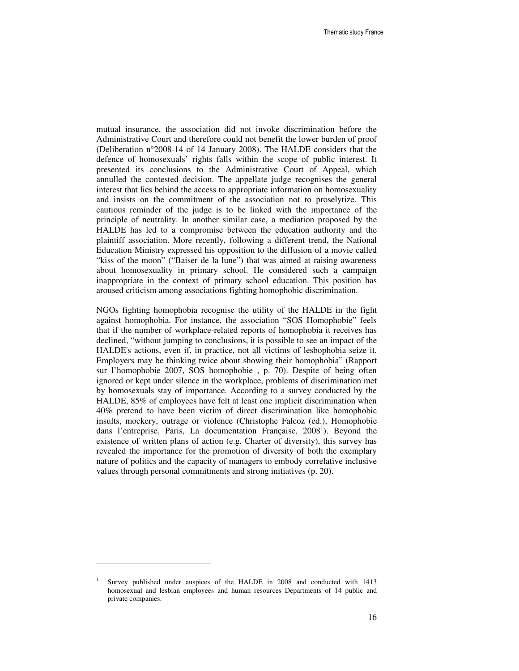mutual insurance, the association did not invoke discrimination before the Administrative Court and therefore could not benefit the lower burden of proof (Deliberation n°2008-14 of 14 January 2008). The HALDE considers that the defence of homosexuals' rights falls within the scope of public interest. It presented its conclusions to the Administrative Court of Appeal, which annulled the contested decision. The appellate judge recognises the general interest that lies behind the access to appropriate information on homosexuality and insists on the commitment of the association not to proselytize. This cautious reminder of the judge is to be linked with the importance of the principle of neutrality. In another similar case, a mediation proposed by the HALDE has led to a compromise between the education authority and the plaintiff association. More recently, following a different trend, the National Education Ministry expressed his opposition to the diffusion of a movie called "kiss of the moon" ("Baiser de la lune") that was aimed at raising awareness about homosexuality in primary school. He considered such a campaign inappropriate in the context of primary school education. This position has aroused criticism among associations fighting homophobic discrimination.

NGOs fighting homophobia recognise the utility of the HALDE in the fight against homophobia. For instance, the association "SOS Homophobie" feels that if the number of workplace-related reports of homophobia it receives has declined, "without jumping to conclusions, it is possible to see an impact of the HALDE's actions, even if, in practice, not all victims of lesbophobia seize it. Employers may be thinking twice about showing their homophobia" (Rapport sur l'homophobie 2007, SOS homophobie , p. 70). Despite of being often ignored or kept under silence in the workplace, problems of discrimination met by homosexuals stay of importance. According to a survey conducted by the HALDE, 85% of employees have felt at least one implicit discrimination when 40% pretend to have been victim of direct discrimination like homophobic insults, mockery, outrage or violence (Christophe Falcoz (ed.), Homophobie dans l'entreprise, Paris, La documentation Française, 2008<sup>1</sup>). Beyond the existence of written plans of action (e.g. Charter of diversity), this survey has revealed the importance for the promotion of diversity of both the exemplary nature of politics and the capacity of managers to embody correlative inclusive values through personal commitments and strong initiatives (p. 20).

 $\overline{a}$ 

<sup>1</sup> Survey published under auspices of the HALDE in 2008 and conducted with 1413 homosexual and lesbian employees and human resources Departments of 14 public and private companies.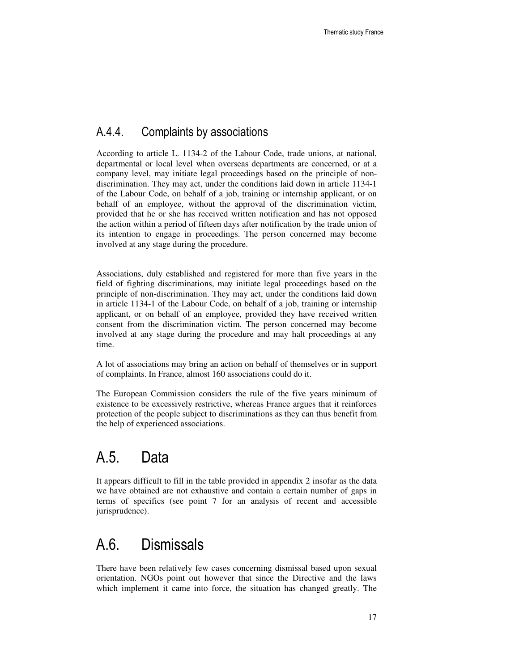#### A.4.4. Complaints by associations

According to article L. 1134-2 of the Labour Code, trade unions, at national, departmental or local level when overseas departments are concerned, or at a company level, may initiate legal proceedings based on the principle of nondiscrimination. They may act, under the conditions laid down in article 1134-1 of the Labour Code, on behalf of a job, training or internship applicant, or on behalf of an employee, without the approval of the discrimination victim, provided that he or she has received written notification and has not opposed the action within a period of fifteen days after notification by the trade union of its intention to engage in proceedings. The person concerned may become involved at any stage during the procedure.

Associations, duly established and registered for more than five years in the field of fighting discriminations, may initiate legal proceedings based on the principle of non-discrimination. They may act, under the conditions laid down in article 1134-1 of the Labour Code, on behalf of a job, training or internship applicant, or on behalf of an employee, provided they have received written consent from the discrimination victim. The person concerned may become involved at any stage during the procedure and may halt proceedings at any time.

A lot of associations may bring an action on behalf of themselves or in support of complaints. In France, almost 160 associations could do it.

The European Commission considers the rule of the five years minimum of existence to be excessively restrictive, whereas France argues that it reinforces protection of the people subject to discriminations as they can thus benefit from the help of experienced associations.

## A.5. Data

It appears difficult to fill in the table provided in appendix 2 insofar as the data we have obtained are not exhaustive and contain a certain number of gaps in terms of specifics (see point 7 for an analysis of recent and accessible jurisprudence).

## A.6. Dismissals

There have been relatively few cases concerning dismissal based upon sexual orientation. NGOs point out however that since the Directive and the laws which implement it came into force, the situation has changed greatly. The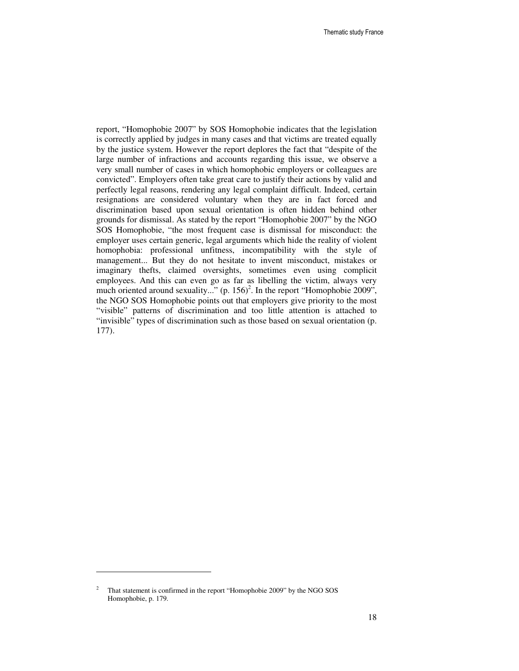report, "Homophobie 2007" by SOS Homophobie indicates that the legislation is correctly applied by judges in many cases and that victims are treated equally by the justice system. However the report deplores the fact that "despite of the large number of infractions and accounts regarding this issue, we observe a very small number of cases in which homophobic employers or colleagues are convicted". Employers often take great care to justify their actions by valid and perfectly legal reasons, rendering any legal complaint difficult. Indeed, certain resignations are considered voluntary when they are in fact forced and discrimination based upon sexual orientation is often hidden behind other grounds for dismissal. As stated by the report "Homophobie 2007" by the NGO SOS Homophobie, "the most frequent case is dismissal for misconduct: the employer uses certain generic, legal arguments which hide the reality of violent homophobia: professional unfitness, incompatibility with the style of management... But they do not hesitate to invent misconduct, mistakes or imaginary thefts, claimed oversights, sometimes even using complicit employees. And this can even go as far as libelling the victim, always very much oriented around sexuality..."  $(p. 156)^2$ . In the report "Homophobie 2009", the NGO SOS Homophobie points out that employers give priority to the most "visible" patterns of discrimination and too little attention is attached to "invisible" types of discrimination such as those based on sexual orientation (p. 177).

 $\overline{a}$ 

<sup>2</sup> That statement is confirmed in the report "Homophobie 2009" by the NGO SOS Homophobie, p. 179.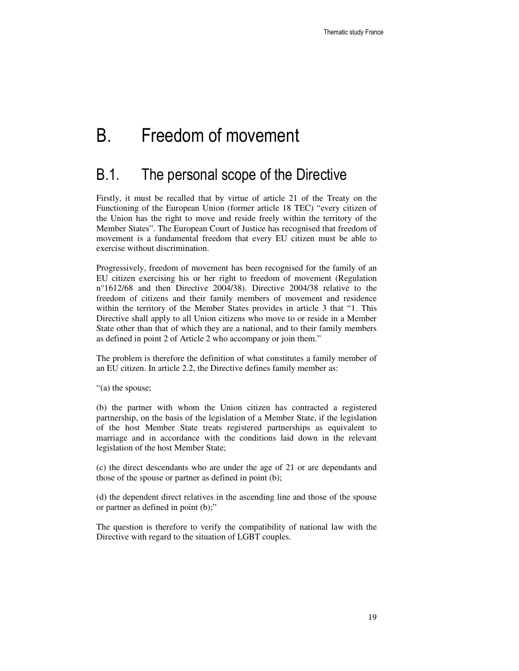# B. Freedom of movement

### B.1. The personal scope of the Directive

Firstly, it must be recalled that by virtue of article 21 of the Treaty on the Functioning of the European Union (former article 18 TEC) "every citizen of the Union has the right to move and reside freely within the territory of the Member States". The European Court of Justice has recognised that freedom of movement is a fundamental freedom that every EU citizen must be able to exercise without discrimination.

Progressively, freedom of movement has been recognised for the family of an EU citizen exercising his or her right to freedom of movement (Regulation n°1612/68 and then Directive 2004/38). Directive 2004/38 relative to the freedom of citizens and their family members of movement and residence within the territory of the Member States provides in article 3 that "1. This Directive shall apply to all Union citizens who move to or reside in a Member State other than that of which they are a national, and to their family members as defined in point 2 of Article 2 who accompany or join them."

The problem is therefore the definition of what constitutes a family member of an EU citizen. In article 2.2, the Directive defines family member as:

"(a) the spouse;

(b) the partner with whom the Union citizen has contracted a registered partnership, on the basis of the legislation of a Member State, if the legislation of the host Member State treats registered partnerships as equivalent to marriage and in accordance with the conditions laid down in the relevant legislation of the host Member State;

(c) the direct descendants who are under the age of 21 or are dependants and those of the spouse or partner as defined in point (b);

(d) the dependent direct relatives in the ascending line and those of the spouse or partner as defined in point (b);"

The question is therefore to verify the compatibility of national law with the Directive with regard to the situation of LGBT couples.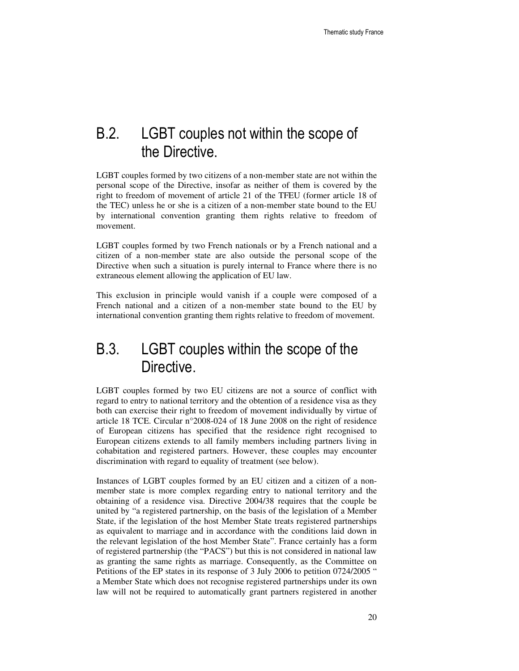## B.2. LGBT couples not within the scope of the Directive.

LGBT couples formed by two citizens of a non-member state are not within the personal scope of the Directive, insofar as neither of them is covered by the right to freedom of movement of article 21 of the TFEU (former article 18 of the TEC) unless he or she is a citizen of a non-member state bound to the EU by international convention granting them rights relative to freedom of movement.

LGBT couples formed by two French nationals or by a French national and a citizen of a non-member state are also outside the personal scope of the Directive when such a situation is purely internal to France where there is no extraneous element allowing the application of EU law.

This exclusion in principle would vanish if a couple were composed of a French national and a citizen of a non-member state bound to the EU by international convention granting them rights relative to freedom of movement.

## B.3. LGBT couples within the scope of the Directive.

LGBT couples formed by two EU citizens are not a source of conflict with regard to entry to national territory and the obtention of a residence visa as they both can exercise their right to freedom of movement individually by virtue of article 18 TCE. Circular n°2008-024 of 18 June 2008 on the right of residence of European citizens has specified that the residence right recognised to European citizens extends to all family members including partners living in cohabitation and registered partners. However, these couples may encounter discrimination with regard to equality of treatment (see below).

Instances of LGBT couples formed by an EU citizen and a citizen of a nonmember state is more complex regarding entry to national territory and the obtaining of a residence visa. Directive 2004/38 requires that the couple be united by "a registered partnership, on the basis of the legislation of a Member State, if the legislation of the host Member State treats registered partnerships as equivalent to marriage and in accordance with the conditions laid down in the relevant legislation of the host Member State". France certainly has a form of registered partnership (the "PACS") but this is not considered in national law as granting the same rights as marriage. Consequently, as the Committee on Petitions of the EP states in its response of 3 July 2006 to petition 0724/2005 " a Member State which does not recognise registered partnerships under its own law will not be required to automatically grant partners registered in another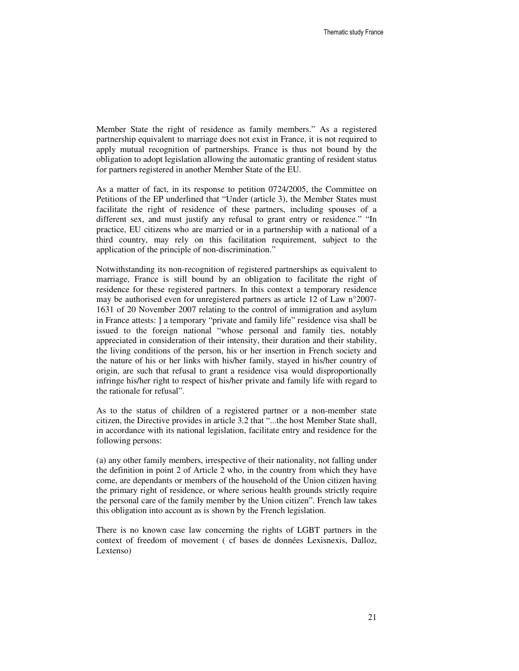Member State the right of residence as family members." As a registered partnership equivalent to marriage does not exist in France, it is not required to apply mutual recognition of partnerships. France is thus not bound by the obligation to adopt legislation allowing the automatic granting of resident status for partners registered in another Member State of the EU.

As a matter of fact, in its response to petition 0724/2005, the Committee on Petitions of the EP underlined that "Under (article 3), the Member States must facilitate the right of residence of these partners, including spouses of a different sex, and must justify any refusal to grant entry or residence." "In practice, EU citizens who are married or in a partnership with a national of a third country, may rely on this facilitation requirement, subject to the application of the principle of non-discrimination."

Notwithstanding its non-recognition of registered partnerships as equivalent to marriage, France is still bound by an obligation to facilitate the right of residence for these registered partners. In this context a temporary residence may be authorised even for unregistered partners as article 12 of Law n°2007- 1631 of 20 November 2007 relating to the control of immigration and asylum in France attests: ] a temporary "private and family life" residence visa shall be issued to the foreign national "whose personal and family ties, notably appreciated in consideration of their intensity, their duration and their stability, the living conditions of the person, his or her insertion in French society and the nature of his or her links with his/her family, stayed in his/her country of origin, are such that refusal to grant a residence visa would disproportionally infringe his/her right to respect of his/her private and family life with regard to the rationale for refusal".

As to the status of children of a registered partner or a non-member state citizen, the Directive provides in article 3.2 that "...the host Member State shall, in accordance with its national legislation, facilitate entry and residence for the following persons:

(a) any other family members, irrespective of their nationality, not falling under the definition in point 2 of Article 2 who, in the country from which they have come, are dependants or members of the household of the Union citizen having the primary right of residence, or where serious health grounds strictly require the personal care of the family member by the Union citizen". French law takes this obligation into account as is shown by the French legislation.

There is no known case law concerning the rights of LGBT partners in the context of freedom of movement ( cf bases de données Lexisnexis, Dalloz, Lextenso)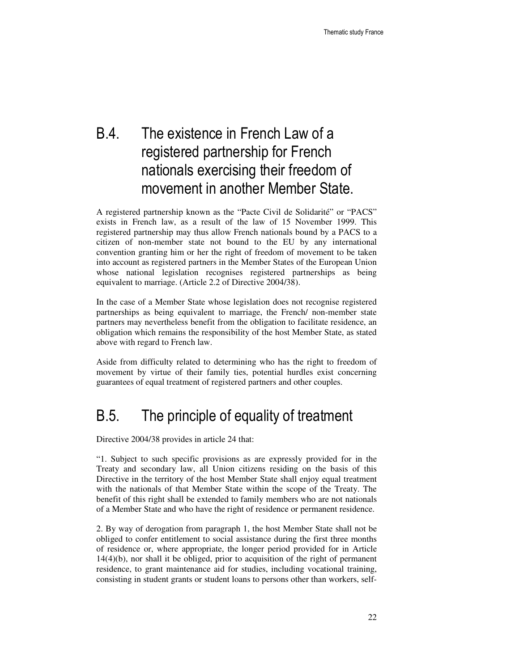## B.4. The existence in French Law of a registered partnership for French nationals exercising their freedom of movement in another Member State.

A registered partnership known as the "Pacte Civil de Solidarité" or "PACS" exists in French law, as a result of the law of 15 November 1999. This registered partnership may thus allow French nationals bound by a PACS to a citizen of non-member state not bound to the EU by any international convention granting him or her the right of freedom of movement to be taken into account as registered partners in the Member States of the European Union whose national legislation recognises registered partnerships as being equivalent to marriage. (Article 2.2 of Directive 2004/38).

In the case of a Member State whose legislation does not recognise registered partnerships as being equivalent to marriage, the French/ non-member state partners may nevertheless benefit from the obligation to facilitate residence, an obligation which remains the responsibility of the host Member State, as stated above with regard to French law.

Aside from difficulty related to determining who has the right to freedom of movement by virtue of their family ties, potential hurdles exist concerning guarantees of equal treatment of registered partners and other couples.

## B.5. The principle of equality of treatment

Directive 2004/38 provides in article 24 that:

"1. Subject to such specific provisions as are expressly provided for in the Treaty and secondary law, all Union citizens residing on the basis of this Directive in the territory of the host Member State shall enjoy equal treatment with the nationals of that Member State within the scope of the Treaty. The benefit of this right shall be extended to family members who are not nationals of a Member State and who have the right of residence or permanent residence.

2. By way of derogation from paragraph 1, the host Member State shall not be obliged to confer entitlement to social assistance during the first three months of residence or, where appropriate, the longer period provided for in Article 14(4)(b), nor shall it be obliged, prior to acquisition of the right of permanent residence, to grant maintenance aid for studies, including vocational training, consisting in student grants or student loans to persons other than workers, self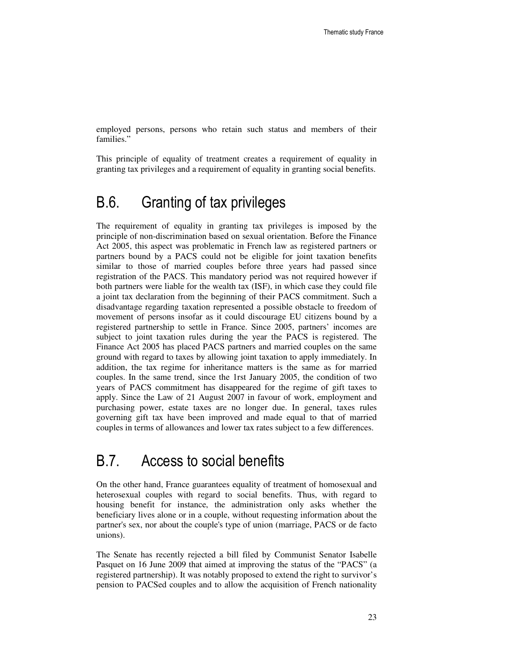employed persons, persons who retain such status and members of their families."

This principle of equality of treatment creates a requirement of equality in granting tax privileges and a requirement of equality in granting social benefits.

### B.6. Granting of tax privileges

The requirement of equality in granting tax privileges is imposed by the principle of non-discrimination based on sexual orientation. Before the Finance Act 2005, this aspect was problematic in French law as registered partners or partners bound by a PACS could not be eligible for joint taxation benefits similar to those of married couples before three years had passed since registration of the PACS. This mandatory period was not required however if both partners were liable for the wealth tax (ISF), in which case they could file a joint tax declaration from the beginning of their PACS commitment. Such a disadvantage regarding taxation represented a possible obstacle to freedom of movement of persons insofar as it could discourage EU citizens bound by a registered partnership to settle in France. Since 2005, partners' incomes are subject to joint taxation rules during the year the PACS is registered. The Finance Act 2005 has placed PACS partners and married couples on the same ground with regard to taxes by allowing joint taxation to apply immediately. In addition, the tax regime for inheritance matters is the same as for married couples. In the same trend, since the 1rst January 2005, the condition of two years of PACS commitment has disappeared for the regime of gift taxes to apply. Since the Law of 21 August 2007 in favour of work, employment and purchasing power, estate taxes are no longer due. In general, taxes rules governing gift tax have been improved and made equal to that of married couples in terms of allowances and lower tax rates subject to a few differences.

## B.7. Access to social benefits

On the other hand, France guarantees equality of treatment of homosexual and heterosexual couples with regard to social benefits. Thus, with regard to housing benefit for instance, the administration only asks whether the beneficiary lives alone or in a couple, without requesting information about the partner's sex, nor about the couple's type of union (marriage, PACS or de facto unions).

The Senate has recently rejected a bill filed by Communist Senator Isabelle Pasquet on 16 June 2009 that aimed at improving the status of the "PACS" (a registered partnership). It was notably proposed to extend the right to survivor's pension to PACSed couples and to allow the acquisition of French nationality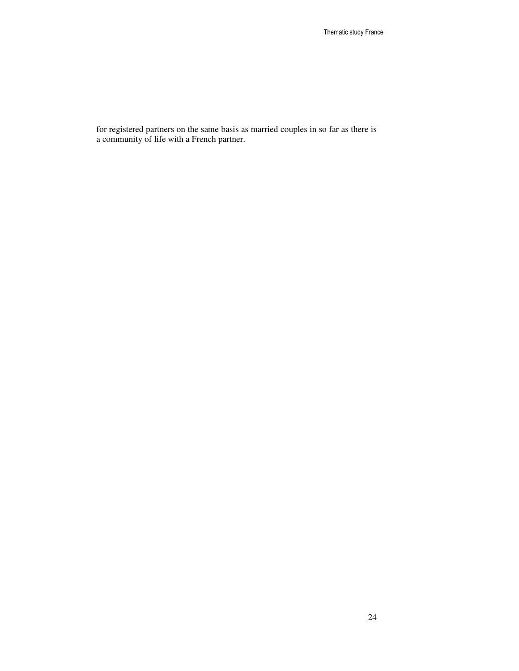for registered partners on the same basis as married couples in so far as there is a community of life with a French partner.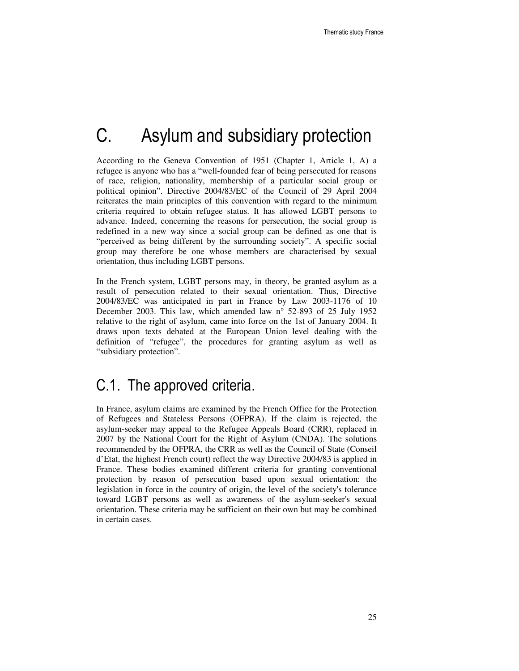# C. Asylum and subsidiary protection

According to the Geneva Convention of 1951 (Chapter 1, Article 1, A) a refugee is anyone who has a "well-founded fear of being persecuted for reasons of race, religion, nationality, membership of a particular social group or political opinion". Directive 2004/83/EC of the Council of 29 April 2004 reiterates the main principles of this convention with regard to the minimum criteria required to obtain refugee status. It has allowed LGBT persons to advance. Indeed, concerning the reasons for persecution, the social group is redefined in a new way since a social group can be defined as one that is "perceived as being different by the surrounding society". A specific social group may therefore be one whose members are characterised by sexual orientation, thus including LGBT persons.

In the French system, LGBT persons may, in theory, be granted asylum as a result of persecution related to their sexual orientation. Thus, Directive 2004/83/EC was anticipated in part in France by Law 2003-1176 of 10 December 2003. This law, which amended law n° 52-893 of 25 July 1952 relative to the right of asylum, came into force on the 1st of January 2004. It draws upon texts debated at the European Union level dealing with the definition of "refugee", the procedures for granting asylum as well as "subsidiary protection".

### C.1. The approved criteria.

In France, asylum claims are examined by the French Office for the Protection of Refugees and Stateless Persons (OFPRA). If the claim is rejected, the asylum-seeker may appeal to the Refugee Appeals Board (CRR), replaced in 2007 by the National Court for the Right of Asylum (CNDA). The solutions recommended by the OFPRA, the CRR as well as the Council of State (Conseil d'Etat, the highest French court) reflect the way Directive 2004/83 is applied in France. These bodies examined different criteria for granting conventional protection by reason of persecution based upon sexual orientation: the legislation in force in the country of origin, the level of the society's tolerance toward LGBT persons as well as awareness of the asylum-seeker's sexual orientation. These criteria may be sufficient on their own but may be combined in certain cases.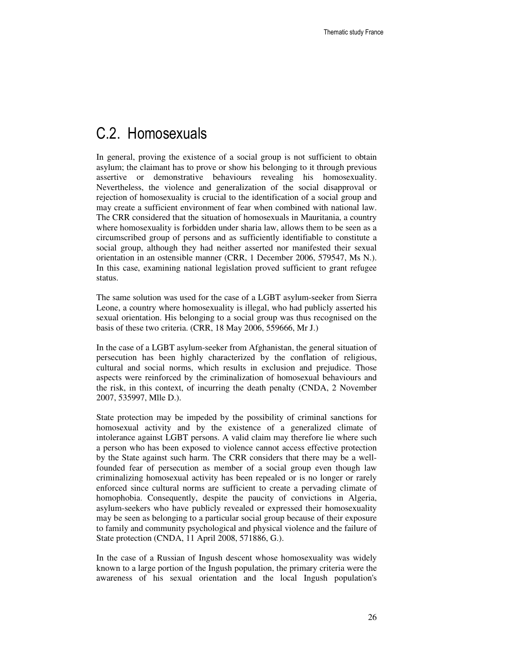### C.2. Homosexuals

In general, proving the existence of a social group is not sufficient to obtain asylum; the claimant has to prove or show his belonging to it through previous assertive or demonstrative behaviours revealing his homosexuality. Nevertheless, the violence and generalization of the social disapproval or rejection of homosexuality is crucial to the identification of a social group and may create a sufficient environment of fear when combined with national law. The CRR considered that the situation of homosexuals in Mauritania, a country where homosexuality is forbidden under sharia law, allows them to be seen as a circumscribed group of persons and as sufficiently identifiable to constitute a social group, although they had neither asserted nor manifested their sexual orientation in an ostensible manner (CRR, 1 December 2006, 579547, Ms N.). In this case, examining national legislation proved sufficient to grant refugee status.

The same solution was used for the case of a LGBT asylum-seeker from Sierra Leone, a country where homosexuality is illegal, who had publicly asserted his sexual orientation. His belonging to a social group was thus recognised on the basis of these two criteria. (CRR, 18 May 2006, 559666, Mr J.)

In the case of a LGBT asylum-seeker from Afghanistan, the general situation of persecution has been highly characterized by the conflation of religious, cultural and social norms, which results in exclusion and prejudice. Those aspects were reinforced by the criminalization of homosexual behaviours and the risk, in this context, of incurring the death penalty (CNDA, 2 November 2007, 535997, Mlle D.).

State protection may be impeded by the possibility of criminal sanctions for homosexual activity and by the existence of a generalized climate of intolerance against LGBT persons. A valid claim may therefore lie where such a person who has been exposed to violence cannot access effective protection by the State against such harm. The CRR considers that there may be a wellfounded fear of persecution as member of a social group even though law criminalizing homosexual activity has been repealed or is no longer or rarely enforced since cultural norms are sufficient to create a pervading climate of homophobia. Consequently, despite the paucity of convictions in Algeria, asylum-seekers who have publicly revealed or expressed their homosexuality may be seen as belonging to a particular social group because of their exposure to family and community psychological and physical violence and the failure of State protection (CNDA, 11 April 2008, 571886, G.).

In the case of a Russian of Ingush descent whose homosexuality was widely known to a large portion of the Ingush population, the primary criteria were the awareness of his sexual orientation and the local Ingush population's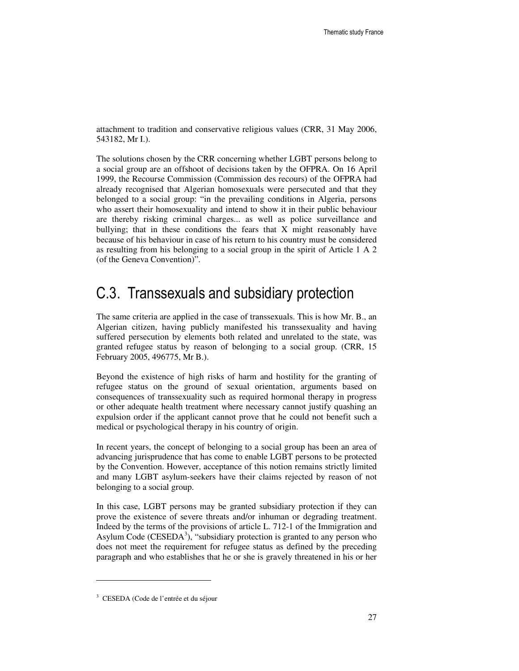attachment to tradition and conservative religious values (CRR, 31 May 2006, 543182, Mr I.).

The solutions chosen by the CRR concerning whether LGBT persons belong to a social group are an offshoot of decisions taken by the OFPRA. On 16 April 1999, the Recourse Commission (Commission des recours) of the OFPRA had already recognised that Algerian homosexuals were persecuted and that they belonged to a social group: "in the prevailing conditions in Algeria, persons who assert their homosexuality and intend to show it in their public behaviour are thereby risking criminal charges... as well as police surveillance and bullying; that in these conditions the fears that X might reasonably have because of his behaviour in case of his return to his country must be considered as resulting from his belonging to a social group in the spirit of Article 1 A 2 (of the Geneva Convention)".

### C.3. Transsexuals and subsidiary protection

The same criteria are applied in the case of transsexuals. This is how Mr. B., an Algerian citizen, having publicly manifested his transsexuality and having suffered persecution by elements both related and unrelated to the state, was granted refugee status by reason of belonging to a social group. (CRR, 15 February 2005, 496775, Mr B.).

Beyond the existence of high risks of harm and hostility for the granting of refugee status on the ground of sexual orientation, arguments based on consequences of transsexuality such as required hormonal therapy in progress or other adequate health treatment where necessary cannot justify quashing an expulsion order if the applicant cannot prove that he could not benefit such a medical or psychological therapy in his country of origin.

In recent years, the concept of belonging to a social group has been an area of advancing jurisprudence that has come to enable LGBT persons to be protected by the Convention. However, acceptance of this notion remains strictly limited and many LGBT asylum-seekers have their claims rejected by reason of not belonging to a social group.

In this case, LGBT persons may be granted subsidiary protection if they can prove the existence of severe threats and/or inhuman or degrading treatment. Indeed by the terms of the provisions of article L. 712-1 of the Immigration and Asylum Code (CESEDA<sup>3</sup>), "subsidiary protection is granted to any person who does not meet the requirement for refugee status as defined by the preceding paragraph and who establishes that he or she is gravely threatened in his or her

 $\overline{a}$ 

<sup>3</sup> CESEDA (Code de l'entrée et du séjour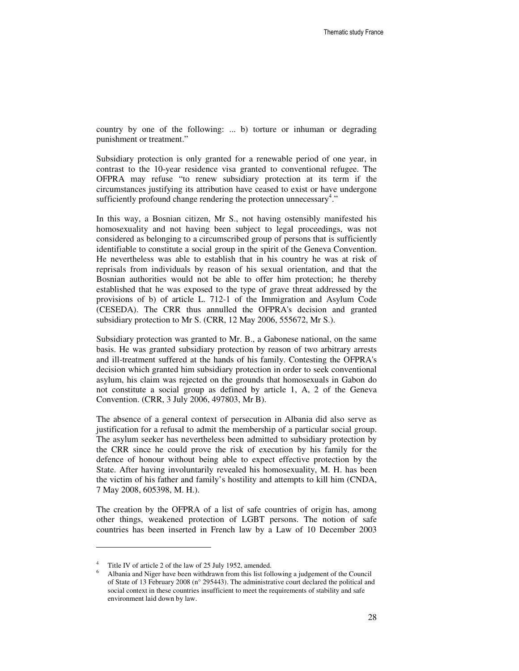country by one of the following: ... b) torture or inhuman or degrading punishment or treatment."

Subsidiary protection is only granted for a renewable period of one year, in contrast to the 10-year residence visa granted to conventional refugee. The OFPRA may refuse "to renew subsidiary protection at its term if the circumstances justifying its attribution have ceased to exist or have undergone sufficiently profound change rendering the protection unnecessary<sup>4</sup>."

In this way, a Bosnian citizen, Mr S., not having ostensibly manifested his homosexuality and not having been subject to legal proceedings, was not considered as belonging to a circumscribed group of persons that is sufficiently identifiable to constitute a social group in the spirit of the Geneva Convention. He nevertheless was able to establish that in his country he was at risk of reprisals from individuals by reason of his sexual orientation, and that the Bosnian authorities would not be able to offer him protection; he thereby established that he was exposed to the type of grave threat addressed by the provisions of b) of article L. 712-1 of the Immigration and Asylum Code (CESEDA). The CRR thus annulled the OFPRA's decision and granted subsidiary protection to Mr S. (CRR, 12 May 2006, 555672, Mr S.).

Subsidiary protection was granted to Mr. B., a Gabonese national, on the same basis. He was granted subsidiary protection by reason of two arbitrary arrests and ill-treatment suffered at the hands of his family. Contesting the OFPRA's decision which granted him subsidiary protection in order to seek conventional asylum, his claim was rejected on the grounds that homosexuals in Gabon do not constitute a social group as defined by article 1, A, 2 of the Geneva Convention. (CRR, 3 July 2006, 497803, Mr B).

The absence of a general context of persecution in Albania did also serve as justification for a refusal to admit the membership of a particular social group. The asylum seeker has nevertheless been admitted to subsidiary protection by the CRR since he could prove the risk of execution by his family for the defence of honour without being able to expect effective protection by the State. After having involuntarily revealed his homosexuality, M. H. has been the victim of his father and family's hostility and attempts to kill him (CNDA, 7 May 2008, 605398, M. H.).

The creation by the OFPRA of a list of safe countries of origin has, among other things, weakened protection of LGBT persons. The notion of safe countries has been inserted in French law by a Law of 10 December 2003

 $\overline{a}$ 

<sup>&</sup>lt;sup>4</sup> Title IV of article 2 of the law of 25 July 1952, amended.

<sup>6</sup> Albania and Niger have been withdrawn from this list following a judgement of the Council of State of 13 February 2008 (n° 295443). The administrative court declared the political and social context in these countries insufficient to meet the requirements of stability and safe environment laid down by law.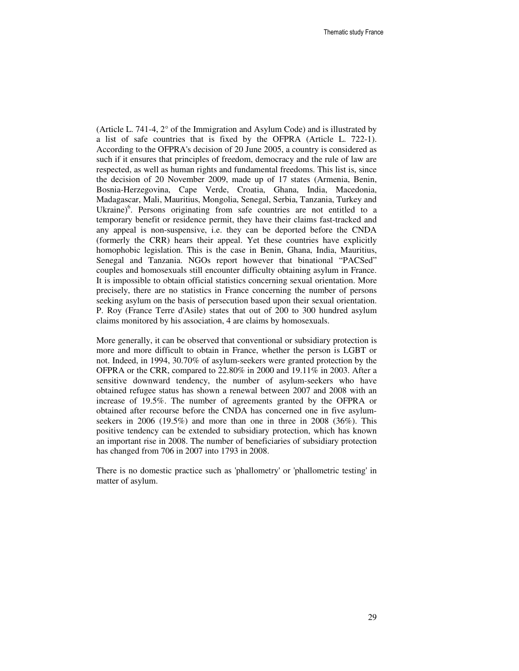(Article L. 741-4, 2° of the Immigration and Asylum Code) and is illustrated by a list of safe countries that is fixed by the OFPRA (Article L. 722-1). According to the OFPRA's decision of 20 June 2005, a country is considered as such if it ensures that principles of freedom, democracy and the rule of law are respected, as well as human rights and fundamental freedoms. This list is, since the decision of 20 November 2009, made up of 17 states (Armenia, Benin, Bosnia-Herzegovina, Cape Verde, Croatia, Ghana, India, Macedonia, Madagascar, Mali, Mauritius, Mongolia, Senegal, Serbia, Tanzania, Turkey and Ukraine)<sup>6</sup>. Persons originating from safe countries are not entitled to a temporary benefit or residence permit, they have their claims fast-tracked and any appeal is non-suspensive, i.e. they can be deported before the CNDA (formerly the CRR) hears their appeal. Yet these countries have explicitly homophobic legislation. This is the case in Benin, Ghana, India, Mauritius, Senegal and Tanzania. NGOs report however that binational "PACSed" couples and homosexuals still encounter difficulty obtaining asylum in France. It is impossible to obtain official statistics concerning sexual orientation. More precisely, there are no statistics in France concerning the number of persons seeking asylum on the basis of persecution based upon their sexual orientation. P. Roy (France Terre d'Asile) states that out of 200 to 300 hundred asylum claims monitored by his association, 4 are claims by homosexuals.

More generally, it can be observed that conventional or subsidiary protection is more and more difficult to obtain in France, whether the person is LGBT or not. Indeed, in 1994, 30.70% of asylum-seekers were granted protection by the OFPRA or the CRR, compared to 22.80% in 2000 and 19.11% in 2003. After a sensitive downward tendency, the number of asylum-seekers who have obtained refugee status has shown a renewal between 2007 and 2008 with an increase of 19.5%. The number of agreements granted by the OFPRA or obtained after recourse before the CNDA has concerned one in five asylumseekers in 2006 (19.5%) and more than one in three in 2008 (36%). This positive tendency can be extended to subsidiary protection, which has known an important rise in 2008. The number of beneficiaries of subsidiary protection has changed from 706 in 2007 into 1793 in 2008.

There is no domestic practice such as 'phallometry' or 'phallometric testing' in matter of asylum.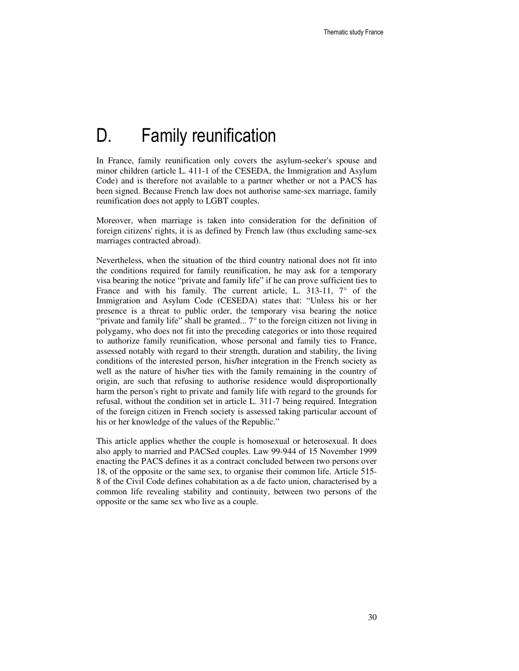# D. Family reunification

In France, family reunification only covers the asylum-seeker's spouse and minor children (article L. 411-1 of the CESEDA, the Immigration and Asylum Code) and is therefore not available to a partner whether or not a PACS has been signed. Because French law does not authorise same-sex marriage, family reunification does not apply to LGBT couples.

Moreover, when marriage is taken into consideration for the definition of foreign citizens' rights, it is as defined by French law (thus excluding same-sex marriages contracted abroad).

Nevertheless, when the situation of the third country national does not fit into the conditions required for family reunification, he may ask for a temporary visa bearing the notice "private and family life" if he can prove sufficient ties to France and with his family. The current article, L. 313-11,  $7^{\circ}$  of the Immigration and Asylum Code (CESEDA) states that: "Unless his or her presence is a threat to public order, the temporary visa bearing the notice "private and family life" shall be granted... 7° to the foreign citizen not living in polygamy, who does not fit into the preceding categories or into those required to authorize family reunification, whose personal and family ties to France, assessed notably with regard to their strength, duration and stability, the living conditions of the interested person, his/her integration in the French society as well as the nature of his/her ties with the family remaining in the country of origin, are such that refusing to authorise residence would disproportionally harm the person's right to private and family life with regard to the grounds for refusal, without the condition set in article L. 311-7 being required. Integration of the foreign citizen in French society is assessed taking particular account of his or her knowledge of the values of the Republic."

This article applies whether the couple is homosexual or heterosexual. It does also apply to married and PACSed couples. Law 99-944 of 15 November 1999 enacting the PACS defines it as a contract concluded between two persons over 18, of the opposite or the same sex, to organise their common life. Article 515- 8 of the Civil Code defines cohabitation as a de facto union, characterised by a common life revealing stability and continuity, between two persons of the opposite or the same sex who live as a couple.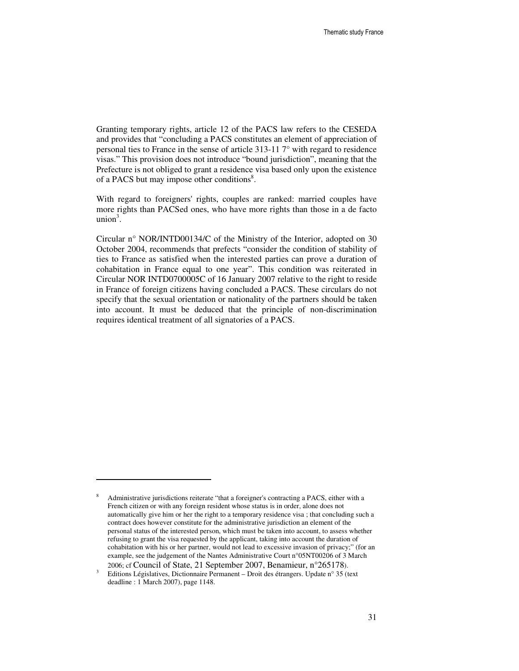Granting temporary rights, article 12 of the PACS law refers to the CESEDA and provides that "concluding a PACS constitutes an element of appreciation of personal ties to France in the sense of article 313-11 7° with regard to residence visas." This provision does not introduce "bound jurisdiction", meaning that the Prefecture is not obliged to grant a residence visa based only upon the existence of a PACS but may impose other conditions<sup>8</sup>.

With regard to foreigners' rights, couples are ranked: married couples have more rights than PACSed ones, who have more rights than those in a de facto  $union<sup>3</sup>$ .

Circular n° NOR/INTD00134/C of the Ministry of the Interior, adopted on 30 October 2004, recommends that prefects "consider the condition of stability of ties to France as satisfied when the interested parties can prove a duration of cohabitation in France equal to one year". This condition was reiterated in Circular NOR INTD0700005C of 16 January 2007 relative to the right to reside in France of foreign citizens having concluded a PACS. These circulars do not specify that the sexual orientation or nationality of the partners should be taken into account. It must be deduced that the principle of non-discrimination requires identical treatment of all signatories of a PACS.

 $\overline{a}$ 

<sup>8</sup> Administrative jurisdictions reiterate "that a foreigner's contracting a PACS, either with a French citizen or with any foreign resident whose status is in order, alone does not automatically give him or her the right to a temporary residence visa ; that concluding such a contract does however constitute for the administrative jurisdiction an element of the personal status of the interested person, which must be taken into account, to assess whether refusing to grant the visa requested by the applicant, taking into account the duration of cohabitation with his or her partner, would not lead to excessive invasion of privacy;" (for an example, see the judgement of the Nantes Administrative Court n°05NT00206 of 3 March 2006; cf Council of State, 21 September 2007, Benamieur, n°265178).

<sup>&</sup>lt;sup>3</sup> Editions Législatives, Dictionnaire Permanent – Droit des étrangers. Update n° 35 (text deadline : 1 March 2007), page 1148.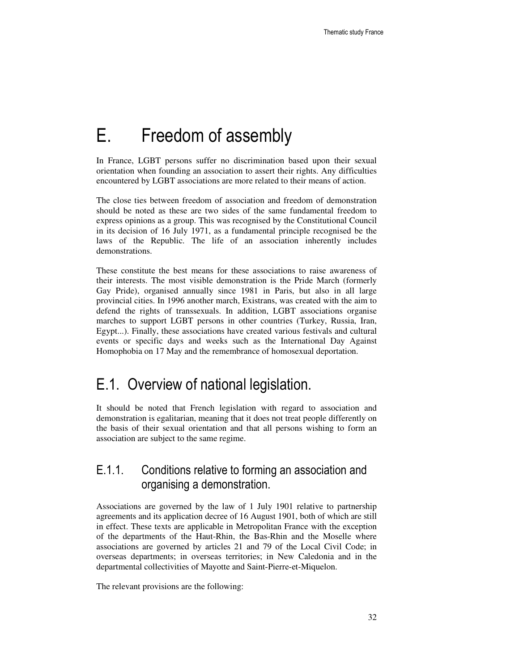# E. Freedom of assembly

In France, LGBT persons suffer no discrimination based upon their sexual orientation when founding an association to assert their rights. Any difficulties encountered by LGBT associations are more related to their means of action.

The close ties between freedom of association and freedom of demonstration should be noted as these are two sides of the same fundamental freedom to express opinions as a group. This was recognised by the Constitutional Council in its decision of 16 July 1971, as a fundamental principle recognised be the laws of the Republic. The life of an association inherently includes demonstrations.

These constitute the best means for these associations to raise awareness of their interests. The most visible demonstration is the Pride March (formerly Gay Pride), organised annually since 1981 in Paris, but also in all large provincial cities. In 1996 another march, Existrans, was created with the aim to defend the rights of transsexuals. In addition, LGBT associations organise marches to support LGBT persons in other countries (Turkey, Russia, Iran, Egypt...). Finally, these associations have created various festivals and cultural events or specific days and weeks such as the International Day Against Homophobia on 17 May and the remembrance of homosexual deportation.

## E.1. Overview of national legislation.

It should be noted that French legislation with regard to association and demonstration is egalitarian, meaning that it does not treat people differently on the basis of their sexual orientation and that all persons wishing to form an association are subject to the same regime.

#### E.1.1. Conditions relative to forming an association and organising a demonstration.

Associations are governed by the law of 1 July 1901 relative to partnership agreements and its application decree of 16 August 1901, both of which are still in effect. These texts are applicable in Metropolitan France with the exception of the departments of the Haut-Rhin, the Bas-Rhin and the Moselle where associations are governed by articles 21 and 79 of the Local Civil Code; in overseas departments; in overseas territories; in New Caledonia and in the departmental collectivities of Mayotte and Saint-Pierre-et-Miquelon.

The relevant provisions are the following: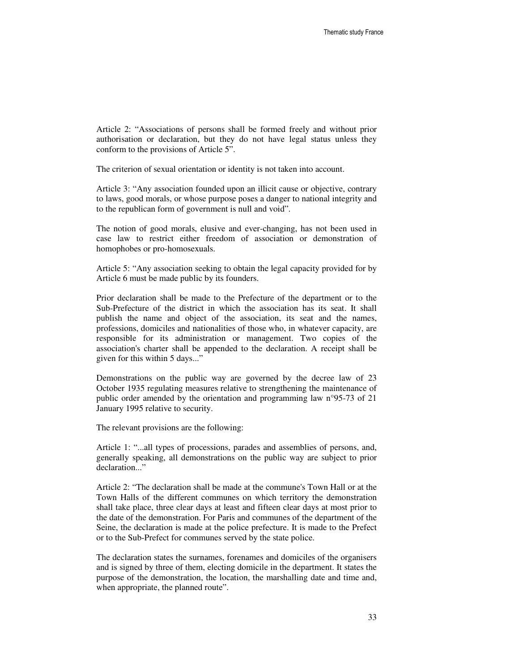Article 2: "Associations of persons shall be formed freely and without prior authorisation or declaration, but they do not have legal status unless they conform to the provisions of Article 5".

The criterion of sexual orientation or identity is not taken into account.

Article 3: "Any association founded upon an illicit cause or objective, contrary to laws, good morals, or whose purpose poses a danger to national integrity and to the republican form of government is null and void".

The notion of good morals, elusive and ever-changing, has not been used in case law to restrict either freedom of association or demonstration of homophobes or pro-homosexuals.

Article 5: "Any association seeking to obtain the legal capacity provided for by Article 6 must be made public by its founders.

Prior declaration shall be made to the Prefecture of the department or to the Sub-Prefecture of the district in which the association has its seat. It shall publish the name and object of the association, its seat and the names, professions, domiciles and nationalities of those who, in whatever capacity, are responsible for its administration or management. Two copies of the association's charter shall be appended to the declaration. A receipt shall be given for this within 5 days..."

Demonstrations on the public way are governed by the decree law of 23 October 1935 regulating measures relative to strengthening the maintenance of public order amended by the orientation and programming law n°95-73 of 21 January 1995 relative to security.

The relevant provisions are the following:

Article 1: "...all types of processions, parades and assemblies of persons, and, generally speaking, all demonstrations on the public way are subject to prior declaration..."

Article 2: "The declaration shall be made at the commune's Town Hall or at the Town Halls of the different communes on which territory the demonstration shall take place, three clear days at least and fifteen clear days at most prior to the date of the demonstration. For Paris and communes of the department of the Seine, the declaration is made at the police prefecture. It is made to the Prefect or to the Sub-Prefect for communes served by the state police.

The declaration states the surnames, forenames and domiciles of the organisers and is signed by three of them, electing domicile in the department. It states the purpose of the demonstration, the location, the marshalling date and time and, when appropriate, the planned route".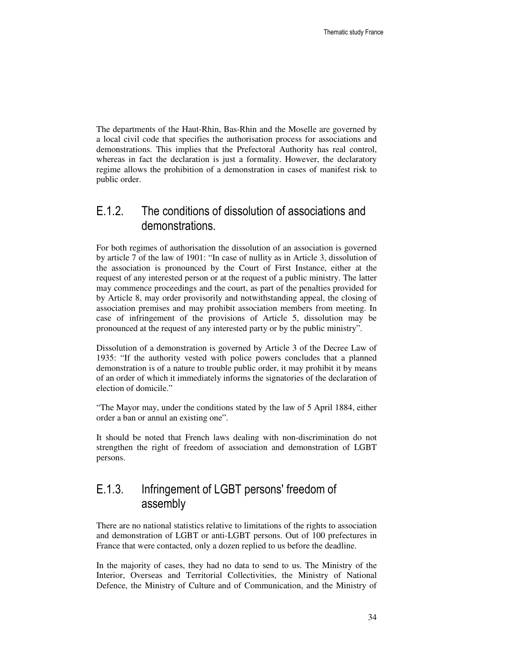The departments of the Haut-Rhin, Bas-Rhin and the Moselle are governed by a local civil code that specifies the authorisation process for associations and demonstrations. This implies that the Prefectoral Authority has real control, whereas in fact the declaration is just a formality. However, the declaratory regime allows the prohibition of a demonstration in cases of manifest risk to public order.

#### E.1.2. The conditions of dissolution of associations and demonstrations.

For both regimes of authorisation the dissolution of an association is governed by article 7 of the law of 1901: "In case of nullity as in Article 3, dissolution of the association is pronounced by the Court of First Instance, either at the request of any interested person or at the request of a public ministry. The latter may commence proceedings and the court, as part of the penalties provided for by Article 8, may order provisorily and notwithstanding appeal, the closing of association premises and may prohibit association members from meeting. In case of infringement of the provisions of Article 5, dissolution may be pronounced at the request of any interested party or by the public ministry".

Dissolution of a demonstration is governed by Article 3 of the Decree Law of 1935: "If the authority vested with police powers concludes that a planned demonstration is of a nature to trouble public order, it may prohibit it by means of an order of which it immediately informs the signatories of the declaration of election of domicile."

"The Mayor may, under the conditions stated by the law of 5 April 1884, either order a ban or annul an existing one".

It should be noted that French laws dealing with non-discrimination do not strengthen the right of freedom of association and demonstration of LGBT persons.

#### E.1.3. Infringement of LGBT persons' freedom of assembly

There are no national statistics relative to limitations of the rights to association and demonstration of LGBT or anti-LGBT persons. Out of 100 prefectures in France that were contacted, only a dozen replied to us before the deadline.

In the majority of cases, they had no data to send to us. The Ministry of the Interior, Overseas and Territorial Collectivities, the Ministry of National Defence, the Ministry of Culture and of Communication, and the Ministry of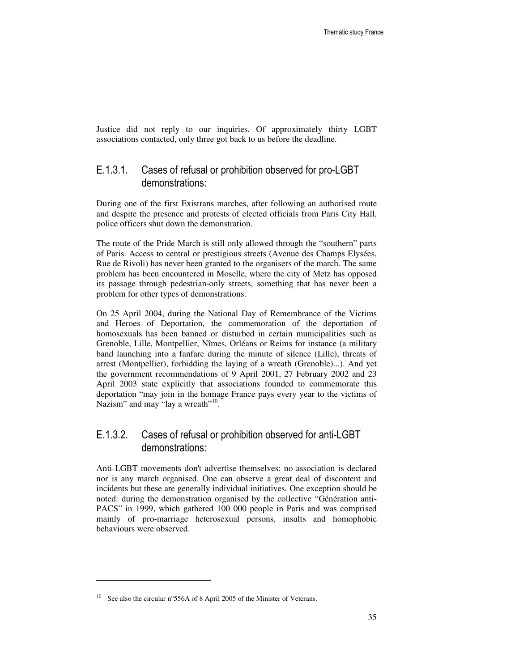Justice did not reply to our inquiries. Of approximately thirty LGBT associations contacted, only three got back to us before the deadline.

#### E.1.3.1. Cases of refusal or prohibition observed for pro-LGBT demonstrations:

During one of the first Existrans marches, after following an authorised route and despite the presence and protests of elected officials from Paris City Hall, police officers shut down the demonstration.

The route of the Pride March is still only allowed through the "southern" parts of Paris. Access to central or prestigious streets (Avenue des Champs Elysées, Rue de Rivoli) has never been granted to the organisers of the march. The same problem has been encountered in Moselle, where the city of Metz has opposed its passage through pedestrian-only streets, something that has never been a problem for other types of demonstrations.

On 25 April 2004, during the National Day of Remembrance of the Victims and Heroes of Deportation, the commemoration of the deportation of homosexuals has been banned or disturbed in certain municipalities such as Grenoble, Lille, Montpellier, Nîmes, Orléans or Reims for instance (a military band launching into a fanfare during the minute of silence (Lille), threats of arrest (Montpellier), forbidding the laying of a wreath (Grenoble)...). And yet the government recommendations of 9 April 2001, 27 February 2002 and 23 April 2003 state explicitly that associations founded to commemorate this deportation "may join in the homage France pays every year to the victims of Nazism" and may "lay a wreath"<sup>10</sup>.

#### E.1.3.2. Cases of refusal or prohibition observed for anti-LGBT demonstrations:

Anti-LGBT movements don't advertise themselves: no association is declared nor is any march organised. One can observe a great deal of discontent and incidents but these are generally individual initiatives. One exception should be noted: during the demonstration organised by the collective "Génération anti-PACS" in 1999, which gathered 100 000 people in Paris and was comprised mainly of pro-marriage heterosexual persons, insults and homophobic behaviours were observed.

 $\overline{a}$ 

<sup>&</sup>lt;sup>10</sup> See also the circular n°556A of 8 April 2005 of the Minister of Veterans.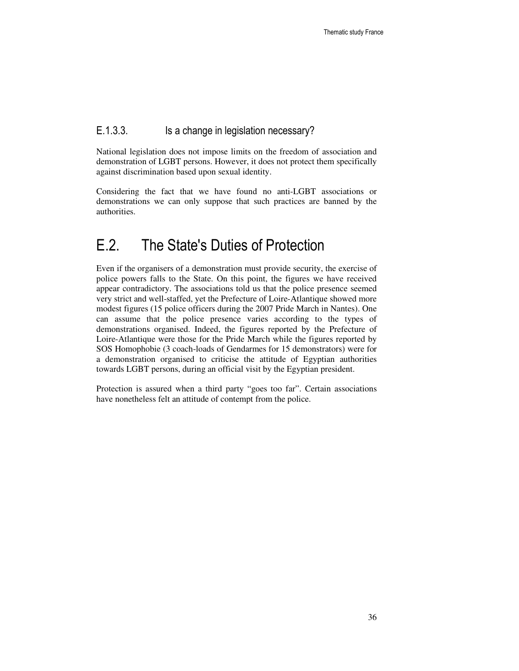#### E.1.3.3. Is a change in legislation necessary?

National legislation does not impose limits on the freedom of association and demonstration of LGBT persons. However, it does not protect them specifically against discrimination based upon sexual identity.

Considering the fact that we have found no anti-LGBT associations or demonstrations we can only suppose that such practices are banned by the authorities.

### E.2. The State's Duties of Protection

Even if the organisers of a demonstration must provide security, the exercise of police powers falls to the State. On this point, the figures we have received appear contradictory. The associations told us that the police presence seemed very strict and well-staffed, yet the Prefecture of Loire-Atlantique showed more modest figures (15 police officers during the 2007 Pride March in Nantes). One can assume that the police presence varies according to the types of demonstrations organised. Indeed, the figures reported by the Prefecture of Loire-Atlantique were those for the Pride March while the figures reported by SOS Homophobie (3 coach-loads of Gendarmes for 15 demonstrators) were for a demonstration organised to criticise the attitude of Egyptian authorities towards LGBT persons, during an official visit by the Egyptian president.

Protection is assured when a third party "goes too far". Certain associations have nonetheless felt an attitude of contempt from the police.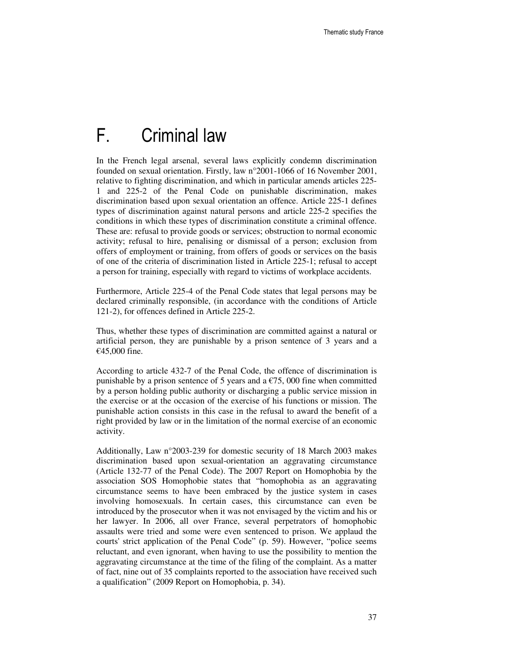## F. Criminal law

In the French legal arsenal, several laws explicitly condemn discrimination founded on sexual orientation. Firstly, law n°2001-1066 of 16 November 2001, relative to fighting discrimination, and which in particular amends articles 225- 1 and 225-2 of the Penal Code on punishable discrimination, makes discrimination based upon sexual orientation an offence. Article 225-1 defines types of discrimination against natural persons and article 225-2 specifies the conditions in which these types of discrimination constitute a criminal offence. These are: refusal to provide goods or services; obstruction to normal economic activity; refusal to hire, penalising or dismissal of a person; exclusion from offers of employment or training, from offers of goods or services on the basis of one of the criteria of discrimination listed in Article 225-1; refusal to accept a person for training, especially with regard to victims of workplace accidents.

Furthermore, Article 225-4 of the Penal Code states that legal persons may be declared criminally responsible, (in accordance with the conditions of Article 121-2), for offences defined in Article 225-2.

Thus, whether these types of discrimination are committed against a natural or artificial person, they are punishable by a prison sentence of 3 years and a €45,000 fine.

According to article 432-7 of the Penal Code, the offence of discrimination is punishable by a prison sentence of 5 years and a  $\epsilon$ 75, 000 fine when committed by a person holding public authority or discharging a public service mission in the exercise or at the occasion of the exercise of his functions or mission. The punishable action consists in this case in the refusal to award the benefit of a right provided by law or in the limitation of the normal exercise of an economic activity.

Additionally, Law n°2003-239 for domestic security of 18 March 2003 makes discrimination based upon sexual-orientation an aggravating circumstance (Article 132-77 of the Penal Code). The 2007 Report on Homophobia by the association SOS Homophobie states that "homophobia as an aggravating circumstance seems to have been embraced by the justice system in cases involving homosexuals. In certain cases, this circumstance can even be introduced by the prosecutor when it was not envisaged by the victim and his or her lawyer. In 2006, all over France, several perpetrators of homophobic assaults were tried and some were even sentenced to prison. We applaud the courts' strict application of the Penal Code" (p. 59). However, "police seems reluctant, and even ignorant, when having to use the possibility to mention the aggravating circumstance at the time of the filing of the complaint. As a matter of fact, nine out of 35 complaints reported to the association have received such a qualification" (2009 Report on Homophobia, p. 34).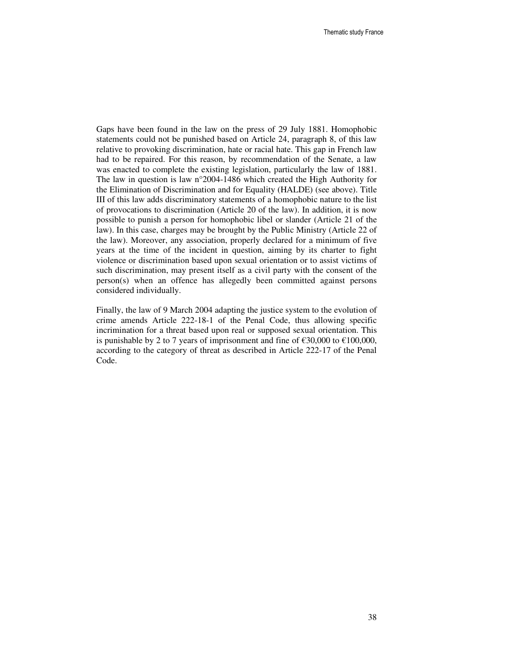Gaps have been found in the law on the press of 29 July 1881. Homophobic statements could not be punished based on Article 24, paragraph 8, of this law relative to provoking discrimination, hate or racial hate. This gap in French law had to be repaired. For this reason, by recommendation of the Senate, a law was enacted to complete the existing legislation, particularly the law of 1881. The law in question is law n°2004-1486 which created the High Authority for the Elimination of Discrimination and for Equality (HALDE) (see above). Title III of this law adds discriminatory statements of a homophobic nature to the list of provocations to discrimination (Article 20 of the law). In addition, it is now possible to punish a person for homophobic libel or slander (Article 21 of the law). In this case, charges may be brought by the Public Ministry (Article 22 of the law). Moreover, any association, properly declared for a minimum of five years at the time of the incident in question, aiming by its charter to fight violence or discrimination based upon sexual orientation or to assist victims of such discrimination, may present itself as a civil party with the consent of the person(s) when an offence has allegedly been committed against persons considered individually.

Finally, the law of 9 March 2004 adapting the justice system to the evolution of crime amends Article 222-18-1 of the Penal Code, thus allowing specific incrimination for a threat based upon real or supposed sexual orientation. This is punishable by 2 to 7 years of imprisonment and fine of  $\epsilon$ 30,000 to  $\epsilon$ 100,000, according to the category of threat as described in Article 222-17 of the Penal Code.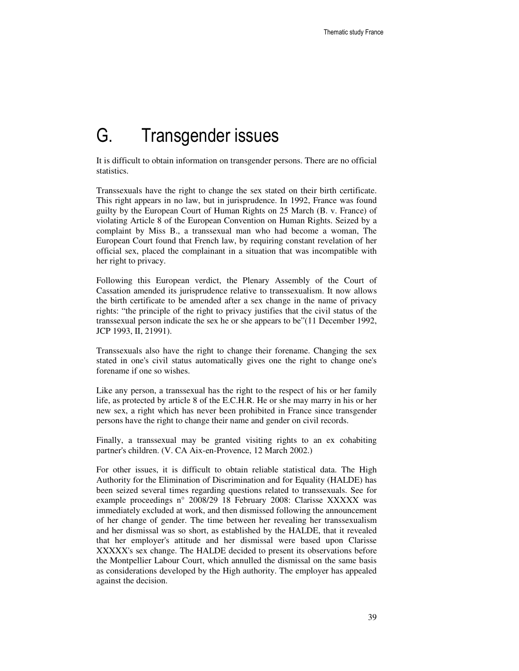# G. Transgender issues

It is difficult to obtain information on transgender persons. There are no official statistics.

Transsexuals have the right to change the sex stated on their birth certificate. This right appears in no law, but in jurisprudence. In 1992, France was found guilty by the European Court of Human Rights on 25 March (B. v. France) of violating Article 8 of the European Convention on Human Rights. Seized by a complaint by Miss B., a transsexual man who had become a woman, The European Court found that French law, by requiring constant revelation of her official sex, placed the complainant in a situation that was incompatible with her right to privacy.

Following this European verdict, the Plenary Assembly of the Court of Cassation amended its jurisprudence relative to transsexualism. It now allows the birth certificate to be amended after a sex change in the name of privacy rights: "the principle of the right to privacy justifies that the civil status of the transsexual person indicate the sex he or she appears to be"(11 December 1992, JCP 1993, II, 21991).

Transsexuals also have the right to change their forename. Changing the sex stated in one's civil status automatically gives one the right to change one's forename if one so wishes.

Like any person, a transsexual has the right to the respect of his or her family life, as protected by article 8 of the E.C.H.R. He or she may marry in his or her new sex, a right which has never been prohibited in France since transgender persons have the right to change their name and gender on civil records.

Finally, a transsexual may be granted visiting rights to an ex cohabiting partner's children. (V. CA Aix-en-Provence, 12 March 2002.)

For other issues, it is difficult to obtain reliable statistical data. The High Authority for the Elimination of Discrimination and for Equality (HALDE) has been seized several times regarding questions related to transsexuals. See for example proceedings n° 2008/29 18 February 2008: Clarisse XXXXX was immediately excluded at work, and then dismissed following the announcement of her change of gender. The time between her revealing her transsexualism and her dismissal was so short, as established by the HALDE, that it revealed that her employer's attitude and her dismissal were based upon Clarisse XXXXX's sex change. The HALDE decided to present its observations before the Montpellier Labour Court, which annulled the dismissal on the same basis as considerations developed by the High authority. The employer has appealed against the decision.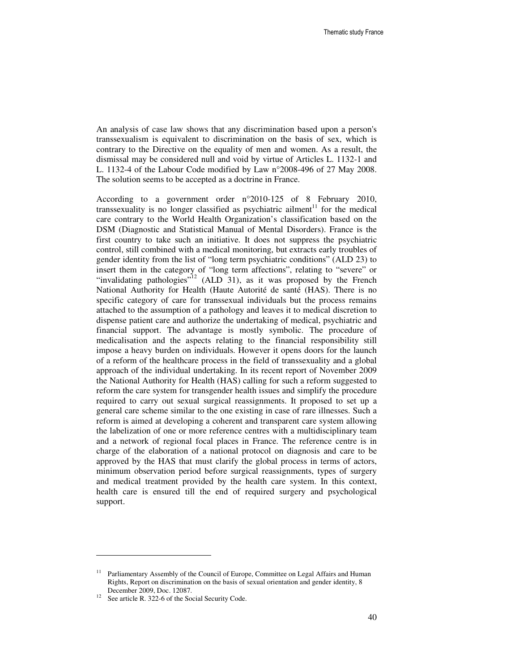An analysis of case law shows that any discrimination based upon a person's transsexualism is equivalent to discrimination on the basis of sex, which is contrary to the Directive on the equality of men and women. As a result, the dismissal may be considered null and void by virtue of Articles L. 1132-1 and L. 1132-4 of the Labour Code modified by Law n°2008-496 of 27 May 2008. The solution seems to be accepted as a doctrine in France.

According to a government order n°2010-125 of 8 February 2010, transsexuality is no longer classified as psychiatric ailment $11$  for the medical care contrary to the World Health Organization's classification based on the DSM (Diagnostic and Statistical Manual of Mental Disorders). France is the first country to take such an initiative. It does not suppress the psychiatric control, still combined with a medical monitoring, but extracts early troubles of gender identity from the list of "long term psychiatric conditions" (ALD 23) to insert them in the category of "long term affections", relating to "severe" or "invalidating pathologies"<sup>12</sup> (ALD 31), as it was proposed by the French National Authority for Health (Haute Autorité de santé (HAS). There is no specific category of care for transsexual individuals but the process remains attached to the assumption of a pathology and leaves it to medical discretion to dispense patient care and authorize the undertaking of medical, psychiatric and financial support. The advantage is mostly symbolic. The procedure of medicalisation and the aspects relating to the financial responsibility still impose a heavy burden on individuals. However it opens doors for the launch of a reform of the healthcare process in the field of transsexuality and a global approach of the individual undertaking. In its recent report of November 2009 the National Authority for Health (HAS) calling for such a reform suggested to reform the care system for transgender health issues and simplify the procedure required to carry out sexual surgical reassignments. It proposed to set up a general care scheme similar to the one existing in case of rare illnesses. Such a reform is aimed at developing a coherent and transparent care system allowing the labelization of one or more reference centres with a multidisciplinary team and a network of regional focal places in France. The reference centre is in charge of the elaboration of a national protocol on diagnosis and care to be approved by the HAS that must clarify the global process in terms of actors, minimum observation period before surgical reassignments, types of surgery and medical treatment provided by the health care system. In this context, health care is ensured till the end of required surgery and psychological support.

 $\overline{a}$ 

Parliamentary Assembly of the Council of Europe, Committee on Legal Affairs and Human Rights, Report on discrimination on the basis of sexual orientation and gender identity, 8 December 2009, Doc. 12087.

<sup>&</sup>lt;sup>12</sup> See article R. 322-6 of the Social Security Code.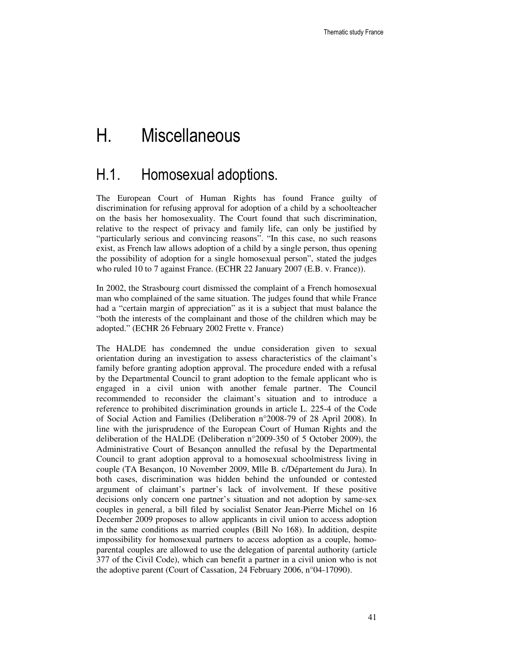## H. Miscellaneous

### H.1. Homosexual adoptions.

The European Court of Human Rights has found France guilty of discrimination for refusing approval for adoption of a child by a schoolteacher on the basis her homosexuality. The Court found that such discrimination, relative to the respect of privacy and family life, can only be justified by "particularly serious and convincing reasons". "In this case, no such reasons exist, as French law allows adoption of a child by a single person, thus opening the possibility of adoption for a single homosexual person", stated the judges who ruled 10 to 7 against France. (ECHR 22 January 2007 (E.B. v. France)).

In 2002, the Strasbourg court dismissed the complaint of a French homosexual man who complained of the same situation. The judges found that while France had a "certain margin of appreciation" as it is a subject that must balance the "both the interests of the complainant and those of the children which may be adopted." (ECHR 26 February 2002 Frette v. France)

The HALDE has condemned the undue consideration given to sexual orientation during an investigation to assess characteristics of the claimant's family before granting adoption approval. The procedure ended with a refusal by the Departmental Council to grant adoption to the female applicant who is engaged in a civil union with another female partner. The Council recommended to reconsider the claimant's situation and to introduce a reference to prohibited discrimination grounds in article L. 225-4 of the Code of Social Action and Families (Deliberation n°2008-79 of 28 April 2008). In line with the jurisprudence of the European Court of Human Rights and the deliberation of the HALDE (Deliberation n°2009-350 of 5 October 2009), the Administrative Court of Besançon annulled the refusal by the Departmental Council to grant adoption approval to a homosexual schoolmistress living in couple (TA Besançon, 10 November 2009, Mlle B. c/Département du Jura). In both cases, discrimination was hidden behind the unfounded or contested argument of claimant's partner's lack of involvement. If these positive decisions only concern one partner's situation and not adoption by same-sex couples in general, a bill filed by socialist Senator Jean-Pierre Michel on 16 December 2009 proposes to allow applicants in civil union to access adoption in the same conditions as married couples (Bill No 168). In addition, despite impossibility for homosexual partners to access adoption as a couple, homoparental couples are allowed to use the delegation of parental authority (article 377 of the Civil Code), which can benefit a partner in a civil union who is not the adoptive parent (Court of Cassation, 24 February 2006, n°04-17090).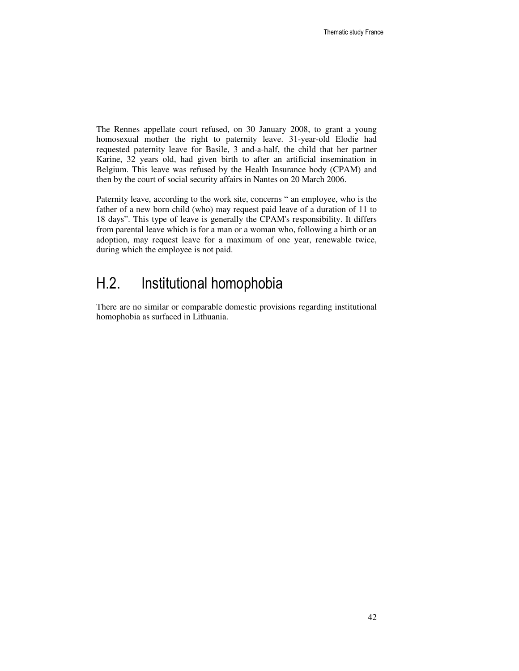The Rennes appellate court refused, on 30 January 2008, to grant a young homosexual mother the right to paternity leave. 31-year-old Elodie had requested paternity leave for Basile, 3 and-a-half, the child that her partner Karine, 32 years old, had given birth to after an artificial insemination in Belgium. This leave was refused by the Health Insurance body (CPAM) and then by the court of social security affairs in Nantes on 20 March 2006.

Paternity leave, according to the work site, concerns " an employee, who is the father of a new born child (who) may request paid leave of a duration of 11 to 18 days". This type of leave is generally the CPAM's responsibility. It differs from parental leave which is for a man or a woman who, following a birth or an adoption, may request leave for a maximum of one year, renewable twice, during which the employee is not paid.

### H.2. Institutional homophobia

There are no similar or comparable domestic provisions regarding institutional homophobia as surfaced in Lithuania.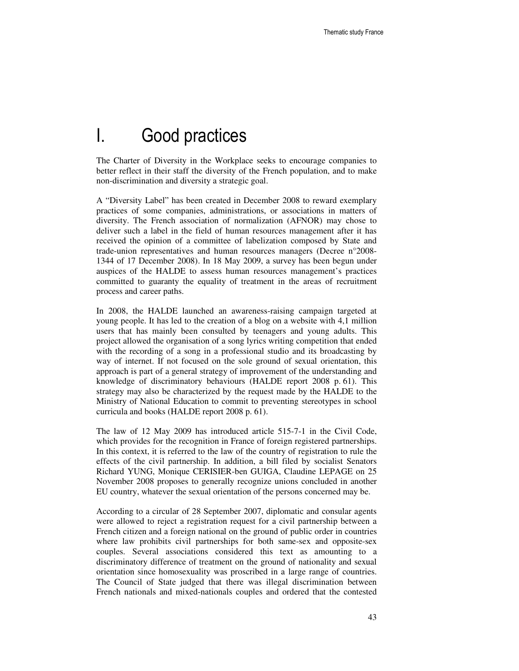### I. Good practices

The Charter of Diversity in the Workplace seeks to encourage companies to better reflect in their staff the diversity of the French population, and to make non-discrimination and diversity a strategic goal.

A "Diversity Label" has been created in December 2008 to reward exemplary practices of some companies, administrations, or associations in matters of diversity. The French association of normalization (AFNOR) may chose to deliver such a label in the field of human resources management after it has received the opinion of a committee of labelization composed by State and trade-union representatives and human resources managers (Decree n°2008- 1344 of 17 December 2008). In 18 May 2009, a survey has been begun under auspices of the HALDE to assess human resources management's practices committed to guaranty the equality of treatment in the areas of recruitment process and career paths.

In 2008, the HALDE launched an awareness-raising campaign targeted at young people. It has led to the creation of a blog on a website with 4,1 million users that has mainly been consulted by teenagers and young adults. This project allowed the organisation of a song lyrics writing competition that ended with the recording of a song in a professional studio and its broadcasting by way of internet. If not focused on the sole ground of sexual orientation, this approach is part of a general strategy of improvement of the understanding and knowledge of discriminatory behaviours (HALDE report 2008 p. 61). This strategy may also be characterized by the request made by the HALDE to the Ministry of National Education to commit to preventing stereotypes in school curricula and books (HALDE report 2008 p. 61).

The law of 12 May 2009 has introduced article 515-7-1 in the Civil Code, which provides for the recognition in France of foreign registered partnerships. In this context, it is referred to the law of the country of registration to rule the effects of the civil partnership. In addition, a bill filed by socialist Senators Richard YUNG, Monique CERISIER-ben GUIGA, Claudine LEPAGE on 25 November 2008 proposes to generally recognize unions concluded in another EU country, whatever the sexual orientation of the persons concerned may be.

According to a circular of 28 September 2007, diplomatic and consular agents were allowed to reject a registration request for a civil partnership between a French citizen and a foreign national on the ground of public order in countries where law prohibits civil partnerships for both same-sex and opposite-sex couples. Several associations considered this text as amounting to a discriminatory difference of treatment on the ground of nationality and sexual orientation since homosexuality was proscribed in a large range of countries. The Council of State judged that there was illegal discrimination between French nationals and mixed-nationals couples and ordered that the contested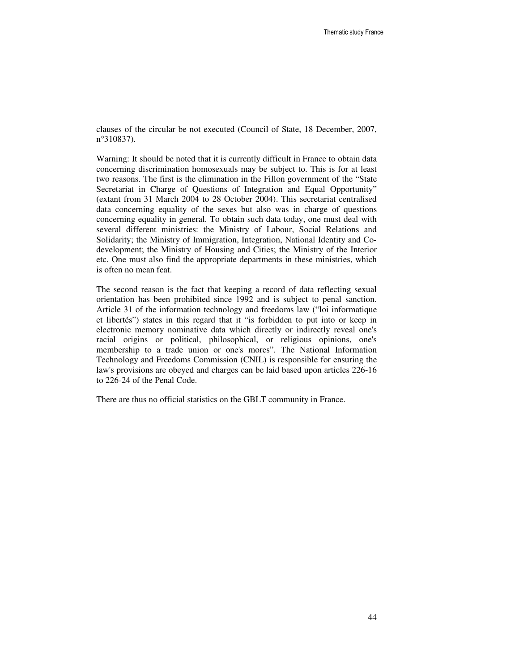clauses of the circular be not executed (Council of State, 18 December, 2007, n°310837).

Warning: It should be noted that it is currently difficult in France to obtain data concerning discrimination homosexuals may be subject to. This is for at least two reasons. The first is the elimination in the Fillon government of the "State Secretariat in Charge of Questions of Integration and Equal Opportunity" (extant from 31 March 2004 to 28 October 2004). This secretariat centralised data concerning equality of the sexes but also was in charge of questions concerning equality in general. To obtain such data today, one must deal with several different ministries: the Ministry of Labour, Social Relations and Solidarity; the Ministry of Immigration, Integration, National Identity and Codevelopment; the Ministry of Housing and Cities; the Ministry of the Interior etc. One must also find the appropriate departments in these ministries, which is often no mean feat.

The second reason is the fact that keeping a record of data reflecting sexual orientation has been prohibited since 1992 and is subject to penal sanction. Article 31 of the information technology and freedoms law ("loi informatique et libertés") states in this regard that it "is forbidden to put into or keep in electronic memory nominative data which directly or indirectly reveal one's racial origins or political, philosophical, or religious opinions, one's membership to a trade union or one's mores". The National Information Technology and Freedoms Commission (CNIL) is responsible for ensuring the law's provisions are obeyed and charges can be laid based upon articles 226-16 to 226-24 of the Penal Code.

There are thus no official statistics on the GBLT community in France.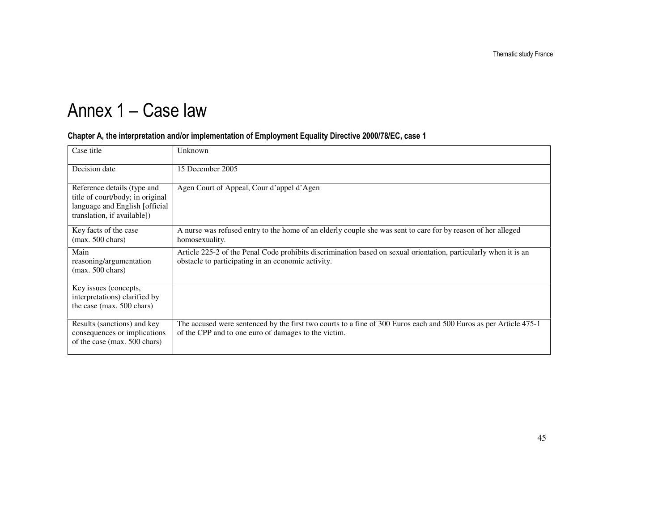# Annex 1 – Case law

#### Chapter A, the interpretation and/or implementation of Employment Equality Directive 2000/78/EC, case 1

| Case title                                                                                                                       | Unknown                                                                                                                                                                   |
|----------------------------------------------------------------------------------------------------------------------------------|---------------------------------------------------------------------------------------------------------------------------------------------------------------------------|
| Decision date                                                                                                                    | 15 December 2005                                                                                                                                                          |
| Reference details (type and<br>title of court/body; in original<br>language and English [official<br>translation, if available]) | Agen Court of Appeal, Cour d'appel d'Agen                                                                                                                                 |
| Key facts of the case<br>$(max. 500 \text{ chars})$                                                                              | A nurse was refused entry to the home of an elderly couple she was sent to care for by reason of her alleged<br>homosexuality.                                            |
| Main<br>reasoning/argumentation<br>$(max. 500 \text{ chars})$                                                                    | Article 225-2 of the Penal Code prohibits discrimination based on sexual orientation, particularly when it is an<br>obstacle to participating in an economic activity.    |
| Key issues (concepts,<br>interpretations) clarified by<br>the case (max. 500 chars)                                              |                                                                                                                                                                           |
| Results (sanctions) and key<br>consequences or implications<br>of the case (max. 500 chars)                                      | The accused were sentenced by the first two courts to a fine of 300 Euros each and 500 Euros as per Article 475-1<br>of the CPP and to one euro of damages to the victim. |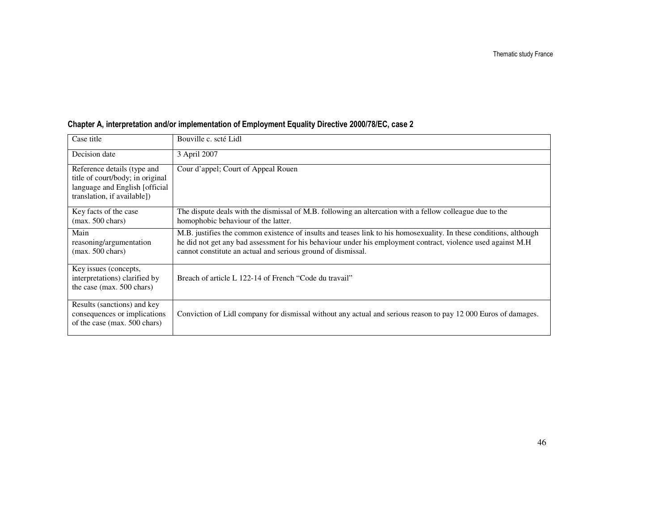| Case title                                                                                                                       | Bouville c. scté Lidl                                                                                                                                                                                                                                                                              |
|----------------------------------------------------------------------------------------------------------------------------------|----------------------------------------------------------------------------------------------------------------------------------------------------------------------------------------------------------------------------------------------------------------------------------------------------|
| Decision date                                                                                                                    | 3 April 2007                                                                                                                                                                                                                                                                                       |
| Reference details (type and<br>title of court/body; in original<br>language and English [official<br>translation, if available]) | Cour d'appel; Court of Appeal Rouen                                                                                                                                                                                                                                                                |
| Key facts of the case<br>$(max. 500 \text{ chars})$                                                                              | The dispute deals with the dismissal of M.B. following an altercation with a fellow colleague due to the<br>homophobic behaviour of the latter.                                                                                                                                                    |
| Main<br>reasoning/argumentation<br>$(max. 500 \text{ chars})$                                                                    | M.B. justifies the common existence of insults and teases link to his homosexuality. In these conditions, although<br>he did not get any bad assessment for his behaviour under his employment contract, violence used against M.H<br>cannot constitute an actual and serious ground of dismissal. |
| Key issues (concepts,<br>interpretations) clarified by<br>the case (max. 500 chars)                                              | Breach of article L 122-14 of French "Code du travail"                                                                                                                                                                                                                                             |
| Results (sanctions) and key<br>consequences or implications<br>of the case (max. 500 chars)                                      | Conviction of Lidl company for dismissal without any actual and serious reason to pay 12 000 Euros of damages.                                                                                                                                                                                     |

#### Chapter A, interpretation and/or implementation of Employment Equality Directive 2000/78/EC, case 2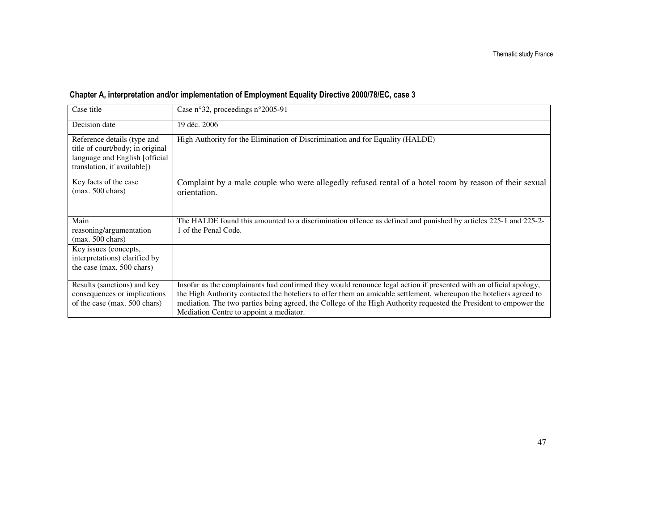| Case title                                                                                                                       | Case n°32, proceedings n°2005-91                                                                                                                                                                                                        |
|----------------------------------------------------------------------------------------------------------------------------------|-----------------------------------------------------------------------------------------------------------------------------------------------------------------------------------------------------------------------------------------|
| Decision date                                                                                                                    | 19 déc. 2006                                                                                                                                                                                                                            |
| Reference details (type and<br>title of court/body; in original<br>language and English [official<br>translation, if available]) | High Authority for the Elimination of Discrimination and for Equality (HALDE)                                                                                                                                                           |
| Key facts of the case<br>$(max. 500 \text{ chars})$                                                                              | Complaint by a male couple who were allegedly refused rental of a hotel room by reason of their sexual<br>orientation.                                                                                                                  |
| Main                                                                                                                             | The HALDE found this amounted to a discrimination offence as defined and punished by articles 225-1 and 225-2-                                                                                                                          |
| reasoning/argumentation<br>$(max. 500 \text{ chars})$                                                                            | 1 of the Penal Code.                                                                                                                                                                                                                    |
| Key issues (concepts,<br>interpretations) clarified by                                                                           |                                                                                                                                                                                                                                         |
| the case (max. 500 chars)                                                                                                        |                                                                                                                                                                                                                                         |
| Results (sanctions) and key                                                                                                      | Insofar as the complainants had confirmed they would renounce legal action if presented with an official apology,                                                                                                                       |
| consequences or implications<br>of the case (max. 500 chars)                                                                     | the High Authority contacted the hoteliers to offer them an amicable settlement, whereupon the hoteliers agreed to<br>mediation. The two parties being agreed, the College of the High Authority requested the President to empower the |
|                                                                                                                                  | Mediation Centre to appoint a mediator.                                                                                                                                                                                                 |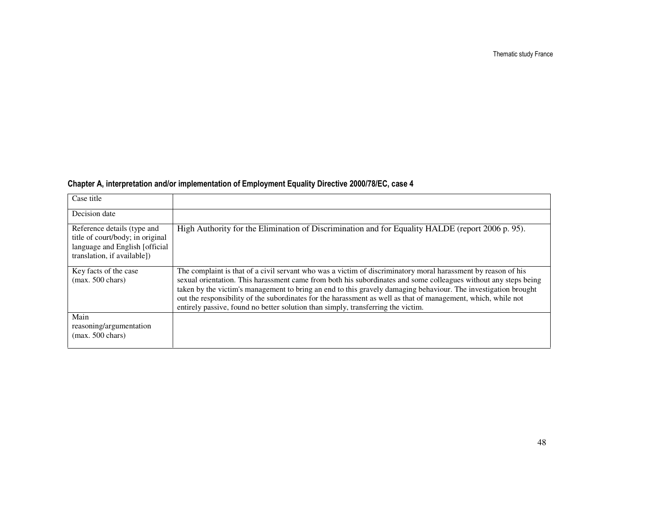Thematic study France

#### Chapter A, interpretation and/or implementation of Employment Equality Directive 2000/78/EC, case 4

| Case title                                                                                                                        |                                                                                                                                                                                                                                                                                                                                                                                                                                                                                                                                                         |
|-----------------------------------------------------------------------------------------------------------------------------------|---------------------------------------------------------------------------------------------------------------------------------------------------------------------------------------------------------------------------------------------------------------------------------------------------------------------------------------------------------------------------------------------------------------------------------------------------------------------------------------------------------------------------------------------------------|
| Decision date                                                                                                                     |                                                                                                                                                                                                                                                                                                                                                                                                                                                                                                                                                         |
| Reference details (type and<br>title of court/body; in original<br>language and English [official]<br>translation, if available]) | High Authority for the Elimination of Discrimination and for Equality HALDE (report 2006 p. 95).                                                                                                                                                                                                                                                                                                                                                                                                                                                        |
| Key facts of the case<br>$(max. 500 \text{ chars})$                                                                               | The complaint is that of a civil servant who was a victim of discriminatory moral harassment by reason of his<br>sexual orientation. This harassment came from both his subordinates and some colleagues without any steps being<br>taken by the victim's management to bring an end to this gravely damaging behaviour. The investigation brought<br>out the responsibility of the subordinates for the harassment as well as that of management, which, while not<br>entirely passive, found no better solution than simply, transferring the victim. |
| Main<br>reasoning/argumentation<br>$(max. 500 \text{ chars})$                                                                     |                                                                                                                                                                                                                                                                                                                                                                                                                                                                                                                                                         |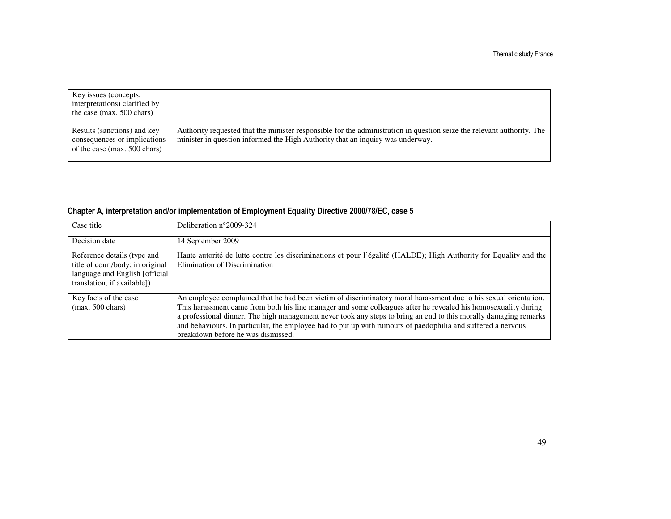| Key issues (concepts,<br>interpretations) clarified by<br>the case (max. $500$ chars)       |                                                                                                                                                                                                          |
|---------------------------------------------------------------------------------------------|----------------------------------------------------------------------------------------------------------------------------------------------------------------------------------------------------------|
| Results (sanctions) and key<br>consequences or implications<br>of the case (max. 500 chars) | Authority requested that the minister responsible for the administration in question seize the relevant authority. The<br>minister in question informed the High Authority that an inquiry was underway. |

#### Chapter A, interpretation and/or implementation of Employment Equality Directive 2000/78/EC, case 5

| Case title                                                                                                                        | Deliberation $n^{\circ}2009-324$                                                                                                                                                                                                                                                                                                                                                                                                                                                                             |
|-----------------------------------------------------------------------------------------------------------------------------------|--------------------------------------------------------------------------------------------------------------------------------------------------------------------------------------------------------------------------------------------------------------------------------------------------------------------------------------------------------------------------------------------------------------------------------------------------------------------------------------------------------------|
| Decision date                                                                                                                     | 14 September 2009                                                                                                                                                                                                                                                                                                                                                                                                                                                                                            |
| Reference details (type and<br>title of court/body; in original<br>language and English [official]<br>translation, if available]) | Haute autorité de lutte contre les discriminations et pour l'égalité (HALDE); High Authority for Equality and the<br>Elimination of Discrimination                                                                                                                                                                                                                                                                                                                                                           |
| Key facts of the case<br>$(max. 500 \text{ chars})$                                                                               | An employee complained that he had been victim of discriminatory moral harassment due to his sexual orientation.<br>This harassment came from both his line manager and some colleagues after he revealed his homosexuality during<br>a professional dinner. The high management never took any steps to bring an end to this morally damaging remarks<br>and behaviours. In particular, the employee had to put up with rumours of paedophilia and suffered a nervous<br>breakdown before he was dismissed. |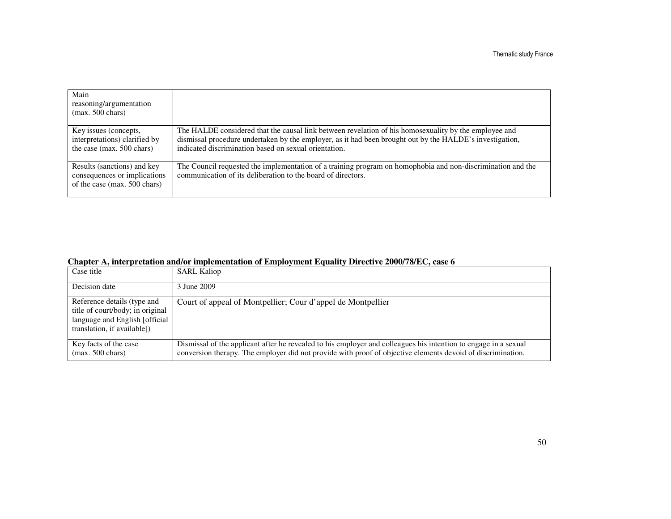| Main<br>reasoning/argumentation<br>$(max. 500 \text{ chars})$                               |                                                                                                                                                                                                                                                                            |
|---------------------------------------------------------------------------------------------|----------------------------------------------------------------------------------------------------------------------------------------------------------------------------------------------------------------------------------------------------------------------------|
| Key issues (concepts,<br>interpretations) clarified by<br>the case (max. 500 chars)         | The HALDE considered that the causal link between revelation of his homosexuality by the employee and<br>dismissal procedure undertaken by the employer, as it had been brought out by the HALDE's investigation,<br>indicated discrimination based on sexual orientation. |
| Results (sanctions) and key<br>consequences or implications<br>of the case (max. 500 chars) | The Council requested the implementation of a training program on homophobia and non-discrimination and the<br>communication of its deliberation to the board of directors.                                                                                                |

| Chapter A, interpretation and/or implementation of Employment Equality Directive 2000/78/EC, case 6 |  |  |  |  |  |  |  |
|-----------------------------------------------------------------------------------------------------|--|--|--|--|--|--|--|
|-----------------------------------------------------------------------------------------------------|--|--|--|--|--|--|--|

| Case title                                                                                                                        | <b>SARL Kaliop</b>                                                                                                                                                                                                             |
|-----------------------------------------------------------------------------------------------------------------------------------|--------------------------------------------------------------------------------------------------------------------------------------------------------------------------------------------------------------------------------|
| Decision date                                                                                                                     | 3 June 2009                                                                                                                                                                                                                    |
| Reference details (type and<br>title of court/body; in original<br>language and English [official]<br>translation, if available]) | Court of appeal of Montpellier; Cour d'appel de Montpellier                                                                                                                                                                    |
| Key facts of the case<br>$(max. 500 \text{ chars})$                                                                               | Dismissal of the applicant after he revealed to his employer and colleagues his intention to engage in a sexual<br>conversion therapy. The employer did not provide with proof of objective elements devoid of discrimination. |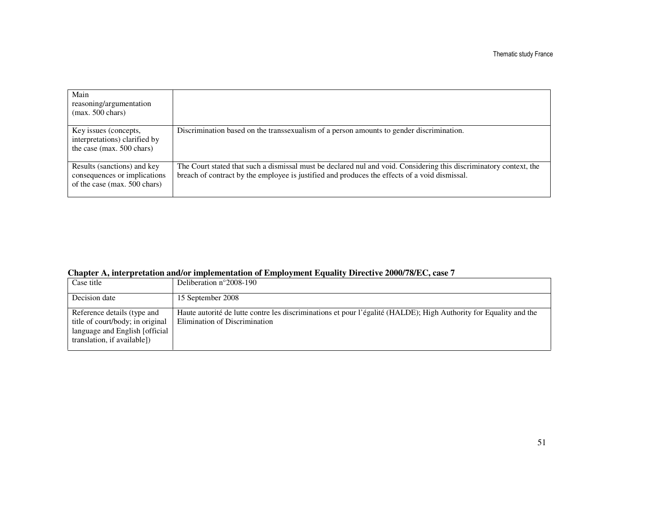| Main<br>reasoning/argumentation<br>$(max. 500 \text{ chars})$                               |                                                                                                                                                                                                                     |
|---------------------------------------------------------------------------------------------|---------------------------------------------------------------------------------------------------------------------------------------------------------------------------------------------------------------------|
| Key issues (concepts,<br>interpretations) clarified by<br>the case (max. 500 chars)         | Discrimination based on the transsexualism of a person amounts to gender discrimination.                                                                                                                            |
| Results (sanctions) and key<br>consequences or implications<br>of the case (max. 500 chars) | The Court stated that such a dismissal must be declared nul and void. Considering this discriminatory context, the<br>breach of contract by the employee is justified and produces the effects of a void dismissal. |

| Chapter A, interpretation and/or implementation of Employment Equality Directive 2000/78/EC, case 7 |  |  |  |  |  |  |  |  |
|-----------------------------------------------------------------------------------------------------|--|--|--|--|--|--|--|--|
|-----------------------------------------------------------------------------------------------------|--|--|--|--|--|--|--|--|

| Case title                                                                                                                       | Deliberation $n^{\circ}2008-190$                                                                                                                   |
|----------------------------------------------------------------------------------------------------------------------------------|----------------------------------------------------------------------------------------------------------------------------------------------------|
| Decision date                                                                                                                    | 15 September 2008                                                                                                                                  |
| Reference details (type and<br>title of court/body; in original<br>language and English [official<br>translation, if available]) | Haute autorité de lutte contre les discriminations et pour l'égalité (HALDE); High Authority for Equality and the<br>Elimination of Discrimination |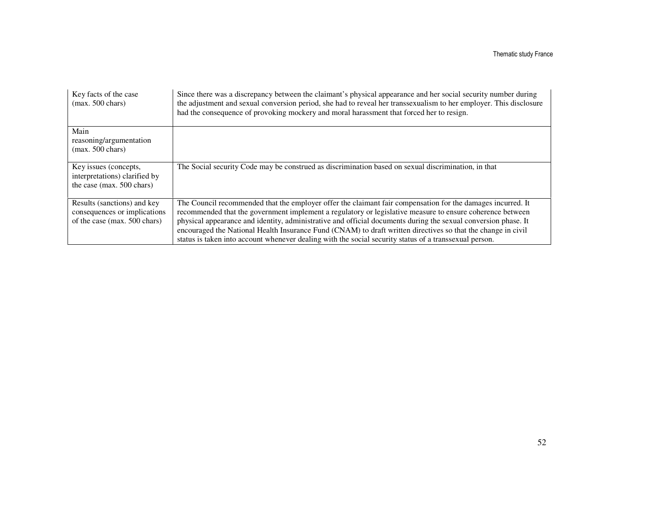| Key facts of the case<br>$(max. 500 \text{ chars})$                                         | Since there was a discrepancy between the claimant's physical appearance and her social security number during<br>the adjustment and sexual conversion period, she had to reveal her transsexualism to her employer. This disclosure<br>had the consequence of provoking mockery and moral harassment that forced her to resign.                                                                                                                                                                                                                                     |
|---------------------------------------------------------------------------------------------|----------------------------------------------------------------------------------------------------------------------------------------------------------------------------------------------------------------------------------------------------------------------------------------------------------------------------------------------------------------------------------------------------------------------------------------------------------------------------------------------------------------------------------------------------------------------|
| Main<br>reasoning/argumentation<br>$(max. 500 \text{ chars})$                               |                                                                                                                                                                                                                                                                                                                                                                                                                                                                                                                                                                      |
| Key issues (concepts,<br>interpretations) clarified by<br>the case (max. 500 chars)         | The Social security Code may be construed as discrimination based on sexual discrimination, in that                                                                                                                                                                                                                                                                                                                                                                                                                                                                  |
| Results (sanctions) and key<br>consequences or implications<br>of the case (max. 500 chars) | The Council recommended that the employer offer the claimant fair compensation for the damages incurred. It<br>recommended that the government implement a regulatory or legislative measure to ensure coherence between<br>physical appearance and identity, administrative and official documents during the sexual conversion phase. It<br>encouraged the National Health Insurance Fund (CNAM) to draft written directives so that the change in civil<br>status is taken into account whenever dealing with the social security status of a transsexual person. |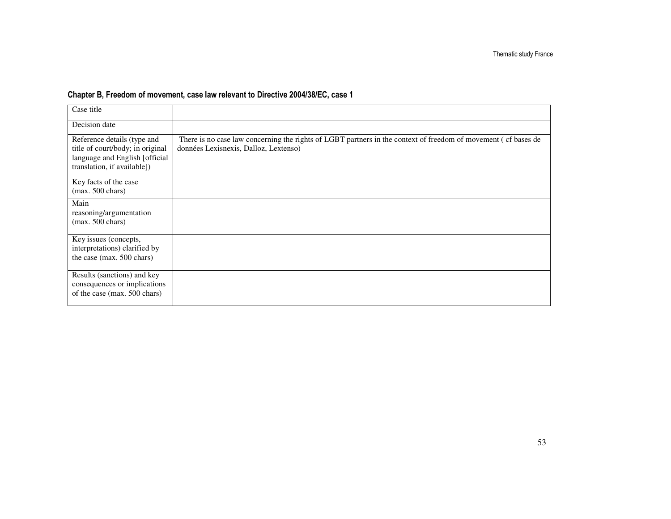#### Chapter B, Freedom of movement, case law relevant to Directive 2004/38/EC, case 1

| Case title                                                                                                                       |                                                                                                                                                         |
|----------------------------------------------------------------------------------------------------------------------------------|---------------------------------------------------------------------------------------------------------------------------------------------------------|
| Decision date                                                                                                                    |                                                                                                                                                         |
| Reference details (type and<br>title of court/body; in original<br>language and English [official<br>translation, if available]) | There is no case law concerning the rights of LGBT partners in the context of freedom of movement (cf bases de<br>données Lexisnexis, Dalloz, Lextenso) |
| Key facts of the case<br>$(max. 500 \text{ chars})$                                                                              |                                                                                                                                                         |
| Main<br>reasoning/argumentation<br>$(max. 500 \text{ chars})$                                                                    |                                                                                                                                                         |
| Key issues (concepts,<br>interpretations) clarified by<br>the case (max. 500 chars)                                              |                                                                                                                                                         |
| Results (sanctions) and key<br>consequences or implications<br>of the case (max. 500 chars)                                      |                                                                                                                                                         |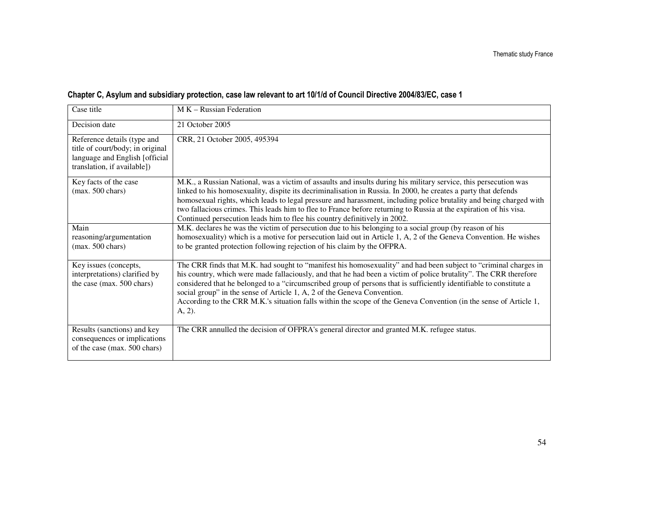| Case title                                                                                                                       | $M K - Russian Federation$                                                                                                                                                                                                                                                                                                                                                                                                                                                                                                                                          |
|----------------------------------------------------------------------------------------------------------------------------------|---------------------------------------------------------------------------------------------------------------------------------------------------------------------------------------------------------------------------------------------------------------------------------------------------------------------------------------------------------------------------------------------------------------------------------------------------------------------------------------------------------------------------------------------------------------------|
| Decision date                                                                                                                    | 21 October 2005                                                                                                                                                                                                                                                                                                                                                                                                                                                                                                                                                     |
| Reference details (type and<br>title of court/body; in original<br>language and English [official<br>translation, if available]) | CRR, 21 October 2005, 495394                                                                                                                                                                                                                                                                                                                                                                                                                                                                                                                                        |
| Key facts of the case<br>$(max. 500 \text{ chars})$                                                                              | M.K., a Russian National, was a victim of assaults and insults during his military service, this persecution was<br>linked to his homosexuality, dispite its decriminalisation in Russia. In 2000, he creates a party that defends<br>homosexual rights, which leads to legal pressure and harassment, including police brutality and being charged with<br>two fallacious crimes. This leads him to flee to France before returning to Russia at the expiration of his visa.<br>Continued persecution leads him to flee his country definitively in 2002.          |
| Main<br>reasoning/argumentation<br>$(max. 500 \text{ chars})$                                                                    | M.K. declares he was the victim of persecution due to his belonging to a social group (by reason of his<br>homosexuality) which is a motive for persecution laid out in Article 1, A, 2 of the Geneva Convention. He wishes<br>to be granted protection following rejection of his claim by the OFPRA.                                                                                                                                                                                                                                                              |
| Key issues (concepts,<br>interpretations) clarified by<br>the case (max. 500 chars)                                              | The CRR finds that M.K. had sought to "manifest his homosexuality" and had been subject to "criminal charges in<br>his country, which were made fallaciously, and that he had been a victim of police brutality". The CRR therefore<br>considered that he belonged to a "circumscribed group of persons that is sufficiently identifiable to constitute a<br>social group" in the sense of Article 1, A, 2 of the Geneva Convention.<br>According to the CRR M.K.'s situation falls within the scope of the Geneva Convention (in the sense of Article 1,<br>A, 2). |
| Results (sanctions) and key<br>consequences or implications<br>of the case (max. 500 chars)                                      | The CRR annulled the decision of OFPRA's general director and granted M.K. refugee status.                                                                                                                                                                                                                                                                                                                                                                                                                                                                          |

#### Chapter C, Asylum and subsidiary protection, case law relevant to art 10/1/d of Council Directive 2004/83/EC, case 1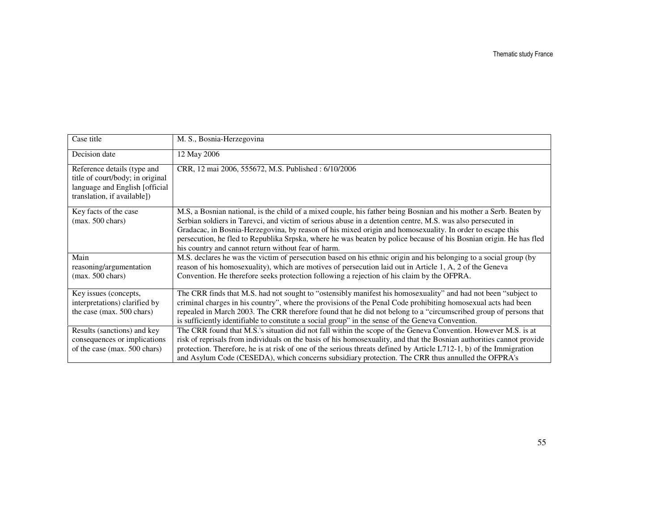| Case title                                                                                                                       | M. S., Bosnia-Herzegovina                                                                                                                                                                                                                                                                                                                                                                                                                                                                                                   |
|----------------------------------------------------------------------------------------------------------------------------------|-----------------------------------------------------------------------------------------------------------------------------------------------------------------------------------------------------------------------------------------------------------------------------------------------------------------------------------------------------------------------------------------------------------------------------------------------------------------------------------------------------------------------------|
| Decision date                                                                                                                    | 12 May 2006                                                                                                                                                                                                                                                                                                                                                                                                                                                                                                                 |
| Reference details (type and<br>title of court/body; in original<br>language and English [official<br>translation, if available]) | CRR, 12 mai 2006, 555672, M.S. Published: 6/10/2006                                                                                                                                                                                                                                                                                                                                                                                                                                                                         |
| Key facts of the case<br>$(max. 500 \text{ chars})$                                                                              | M.S. a Bosnian national, is the child of a mixed couple, his father being Bosnian and his mother a Serb. Beaten by<br>Serbian soldiers in Tarevci, and victim of serious abuse in a detention centre, M.S. was also persecuted in<br>Gradacac, in Bosnia-Herzegovina, by reason of his mixed origin and homosexuality. In order to escape this<br>persecution, he fled to Republika Srpska, where he was beaten by police because of his Bosnian origin. He has fled<br>his country and cannot return without fear of harm. |
| Main<br>reasoning/argumentation<br>$(max. 500 \text{ chars})$                                                                    | M.S. declares he was the victim of persecution based on his ethnic origin and his belonging to a social group (by<br>reason of his homosexuality), which are motives of persecution laid out in Article 1, A, 2 of the Geneva<br>Convention. He therefore seeks protection following a rejection of his claim by the OFPRA.                                                                                                                                                                                                 |
| Key issues (concepts,<br>interpretations) clarified by<br>the case (max. 500 chars)                                              | The CRR finds that M.S. had not sought to "ostensibly manifest his homosexuality" and had not been "subject to<br>criminal charges in his country", where the provisions of the Penal Code prohibiting homosexual acts had been<br>repealed in March 2003. The CRR therefore found that he did not belong to a "circumscribed group of persons that<br>is sufficiently identifiable to constitute a social group" in the sense of the Geneva Convention.                                                                    |
| Results (sanctions) and key<br>consequences or implications<br>of the case (max. 500 chars)                                      | The CRR found that M.S.'s situation did not fall within the scope of the Geneva Convention. However M.S. is at<br>risk of reprisals from individuals on the basis of his homosexuality, and that the Bosnian authorities cannot provide<br>protection. Therefore, he is at risk of one of the serious threats defined by Article $L712-1$ , b) of the Immigration<br>and Asylum Code (CESEDA), which concerns subsidiary protection. The CRR thus annulled the OFPRA's                                                      |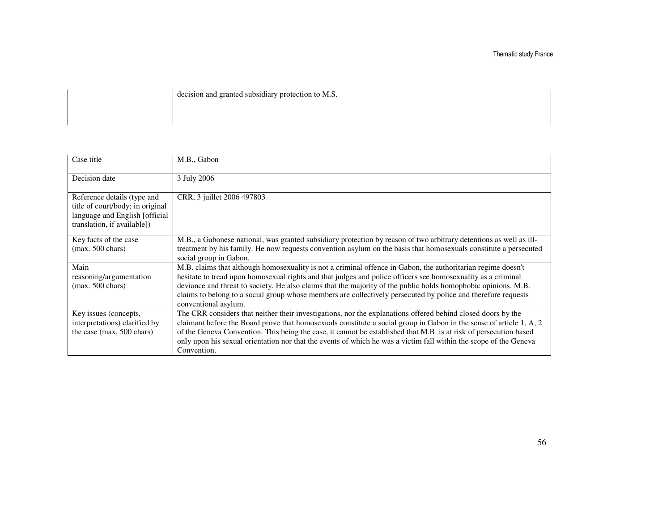decision and granted subsidiary protection to M.S.

| Case title                                                         | M.B., Gabon                                                                                                                                                                                                                     |
|--------------------------------------------------------------------|---------------------------------------------------------------------------------------------------------------------------------------------------------------------------------------------------------------------------------|
| Decision date                                                      | 3 July 2006                                                                                                                                                                                                                     |
| Reference details (type and                                        | CRR, 3 juillet 2006 497803                                                                                                                                                                                                      |
| title of court/body; in original<br>language and English [official |                                                                                                                                                                                                                                 |
| translation, if available])                                        |                                                                                                                                                                                                                                 |
| Key facts of the case                                              | M.B., a Gabonese national, was granted subsidiary protection by reason of two arbitrary detentions as well as ill-                                                                                                              |
| $(max. 500 \text{ chars})$                                         | treatment by his family. He now requests convention asylum on the basis that homosexuals constitute a persecuted<br>social group in Gabon.                                                                                      |
| Main                                                               | M.B. claims that although homosexuality is not a criminal offence in Gabon, the authoritarian regime doesn't                                                                                                                    |
| reasoning/argumentation                                            | hesitate to tread upon homosexual rights and that judges and police officers see homosexuality as a criminal                                                                                                                    |
| $(max. 500 \text{ chars})$                                         | deviance and threat to society. He also claims that the majority of the public holds homophobic opinions. M.B.<br>claims to belong to a social group whose members are collectively persecuted by police and therefore requests |
|                                                                    | conventional asylum.                                                                                                                                                                                                            |
| Key issues (concepts,                                              | The CRR considers that neither their investigations, nor the explanations offered behind closed doors by the                                                                                                                    |
| interpretations) clarified by                                      | claimant before the Board prove that homosexuals constitute a social group in Gabon in the sense of article 1, A, 2                                                                                                             |
| the case (max. 500 chars)                                          | of the Geneva Convention. This being the case, it cannot be established that M.B. is at risk of persecution based                                                                                                               |
|                                                                    | only upon his sexual orientation nor that the events of which he was a victim fall within the scope of the Geneva<br>Convention.                                                                                                |
|                                                                    |                                                                                                                                                                                                                                 |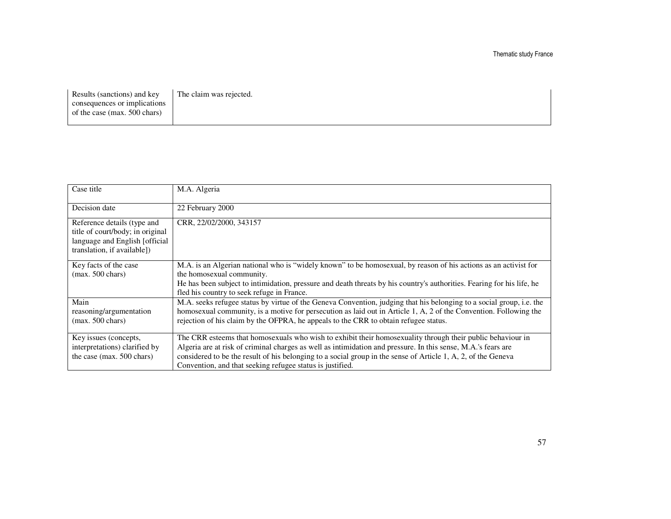Results (sanctions) and key consequences or implications of the case (max. 500 chars) The claim was rejected.

| Case title                                                                                                                       | M.A. Algeria                                                                                                                                                                                                                                                                                                                                                                                              |
|----------------------------------------------------------------------------------------------------------------------------------|-----------------------------------------------------------------------------------------------------------------------------------------------------------------------------------------------------------------------------------------------------------------------------------------------------------------------------------------------------------------------------------------------------------|
| Decision date                                                                                                                    | 22 February 2000                                                                                                                                                                                                                                                                                                                                                                                          |
| Reference details (type and<br>title of court/body; in original<br>language and English [official<br>translation, if available]) | CRR, 22/02/2000, 343157                                                                                                                                                                                                                                                                                                                                                                                   |
| Key facts of the case<br>$(max. 500 \text{ chars})$                                                                              | M.A. is an Algerian national who is "widely known" to be homosexual, by reason of his actions as an activist for<br>the homosexual community.<br>He has been subject to intimidation, pressure and death threats by his country's authorities. Fearing for his life, he<br>fled his country to seek refuge in France.                                                                                     |
| Main<br>reasoning/argumentation<br>$(max. 500 \text{ chars})$                                                                    | M.A. seeks refugee status by virtue of the Geneva Convention, judging that his belonging to a social group, i.e. the<br>homosexual community, is a motive for persecution as laid out in Article 1, A, 2 of the Convention. Following the<br>rejection of his claim by the OFPRA, he appeals to the CRR to obtain refugee status.                                                                         |
| Key issues (concepts,<br>interpretations) clarified by<br>the case (max. 500 chars)                                              | The CRR esteems that homosexuals who wish to exhibit their homosexuality through their public behaviour in<br>Algeria are at risk of criminal charges as well as intimidation and pressure. In this sense, M.A.'s fears are<br>considered to be the result of his belonging to a social group in the sense of Article 1, A, 2, of the Geneva<br>Convention, and that seeking refugee status is justified. |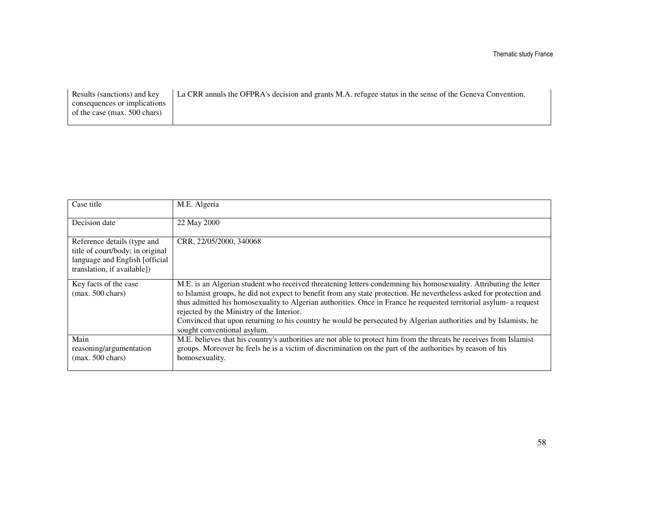| Results (sanctions) and key  | La CRR annuls the OFPRA's decision and grants M.A. refugee status in the sense of the Geneva Convention. |
|------------------------------|----------------------------------------------------------------------------------------------------------|
| consequences or implications |                                                                                                          |
| of the case (max. 500 chars) |                                                                                                          |
|                              |                                                                                                          |

| Case title                                                                                                                        | M.E. Algeria                                                                                                                                                                                                                                                                                                                                                                                                                                                                                                                                                    |
|-----------------------------------------------------------------------------------------------------------------------------------|-----------------------------------------------------------------------------------------------------------------------------------------------------------------------------------------------------------------------------------------------------------------------------------------------------------------------------------------------------------------------------------------------------------------------------------------------------------------------------------------------------------------------------------------------------------------|
| Decision date                                                                                                                     | 22 May 2000                                                                                                                                                                                                                                                                                                                                                                                                                                                                                                                                                     |
| Reference details (type and<br>title of court/body; in original<br>language and English [official]<br>translation, if available]) | CRR, 22/05/2000, 340068                                                                                                                                                                                                                                                                                                                                                                                                                                                                                                                                         |
| Key facts of the case<br>$(max. 500 \text{ chars})$                                                                               | M.E. is an Algerian student who received threatening letters condemning his homosexuality. Attributing the letter<br>to Islamist groups, he did not expect to benefit from any state protection. He nevertheless asked for protection and<br>thus admitted his homosexuality to Algerian authorities. Once in France he requested territorial asylum- a request<br>rejected by the Ministry of the Interior.<br>Convinced that upon returning to his country he would be persecuted by Algerian authorities and by Islamists, he<br>sought conventional asylum. |
| Main<br>reasoning/argumentation<br>$(max. 500 \text{ chars})$                                                                     | M.E. believes that his country's authorities are not able to protect him from the threats he receives from Islamist<br>groups. Moreover he feels he is a victim of discrimination on the part of the authorities by reason of his<br>homosexuality.                                                                                                                                                                                                                                                                                                             |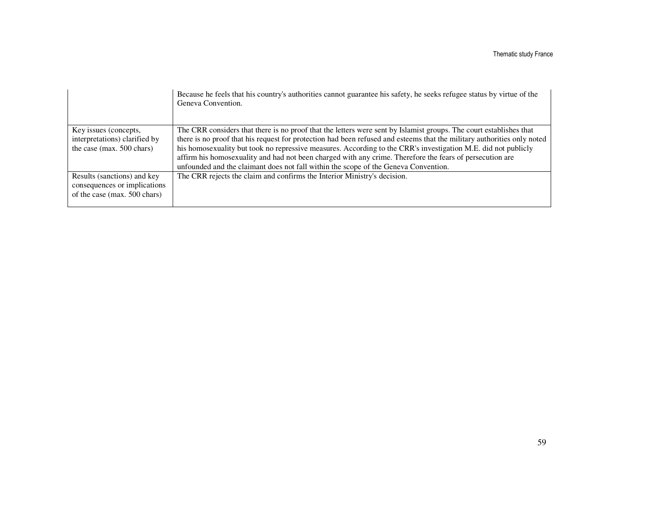|                                                                                             | Because he feels that his country's authorities cannot guarantee his safety, he seeks refugee status by virtue of the<br>Geneva Convention.                                                                                                                                                                                                                                                                                                                                                                                                                       |
|---------------------------------------------------------------------------------------------|-------------------------------------------------------------------------------------------------------------------------------------------------------------------------------------------------------------------------------------------------------------------------------------------------------------------------------------------------------------------------------------------------------------------------------------------------------------------------------------------------------------------------------------------------------------------|
| Key issues (concepts,<br>interpretations) clarified by<br>the case (max. 500 chars)         | The CRR considers that there is no proof that the letters were sent by Islamist groups. The court establishes that<br>there is no proof that his request for protection had been refused and esteems that the military authorities only noted<br>his homosexuality but took no repressive measures. According to the CRR's investigation M.E. did not publicly<br>affirm his homosexuality and had not been charged with any crime. Therefore the fears of persecution are<br>unfounded and the claimant does not fall within the scope of the Geneva Convention. |
| Results (sanctions) and key<br>consequences or implications<br>of the case (max. 500 chars) | The CRR rejects the claim and confirms the Interior Ministry's decision.                                                                                                                                                                                                                                                                                                                                                                                                                                                                                          |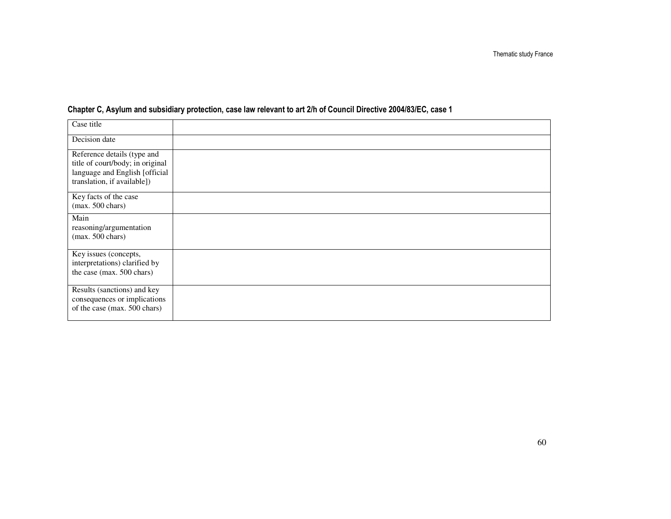| Case title                                                                                                                       |  |
|----------------------------------------------------------------------------------------------------------------------------------|--|
| Decision date                                                                                                                    |  |
| Reference details (type and<br>title of court/body; in original<br>language and English [official<br>translation, if available]) |  |
| Key facts of the case<br>$(max. 500 \text{ chars})$                                                                              |  |
| Main<br>reasoning/argumentation<br>$(max. 500 \text{ chars})$                                                                    |  |
| Key issues (concepts,<br>interpretations) clarified by<br>the case (max. 500 chars)                                              |  |
| Results (sanctions) and key<br>consequences or implications<br>of the case (max. 500 chars)                                      |  |

#### Chapter C, Asylum and subsidiary protection, case law relevant to art 2/h of Council Directive 2004/83/EC, case 1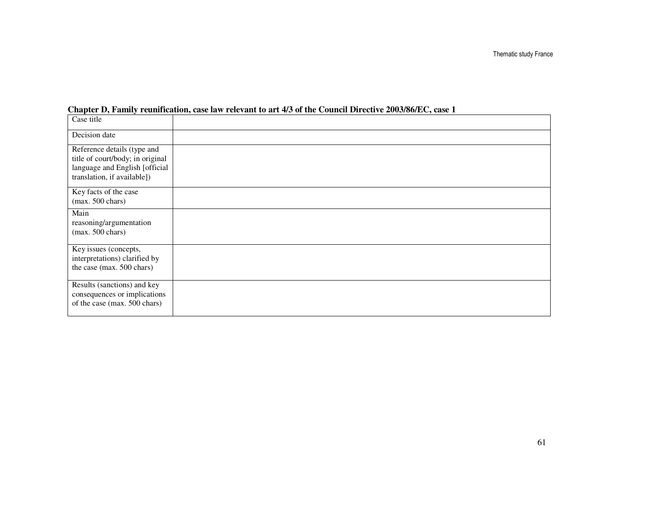| Case title                                                                                                                       |  |
|----------------------------------------------------------------------------------------------------------------------------------|--|
| Decision date                                                                                                                    |  |
| Reference details (type and<br>title of court/body; in original<br>language and English [official<br>translation, if available]) |  |
| Key facts of the case<br>$(max. 500 \text{ chars})$                                                                              |  |
| Main<br>reasoning/argumentation<br>$(max. 500 \text{ chars})$                                                                    |  |
| Key issues (concepts,<br>interpretations) clarified by<br>the case (max. 500 chars)                                              |  |
| Results (sanctions) and key<br>consequences or implications<br>of the case (max. 500 chars)                                      |  |

#### **Chapter D, Family reunification, case law relevant to art 4/3 of the Council Directive 2003/86/EC, case 1**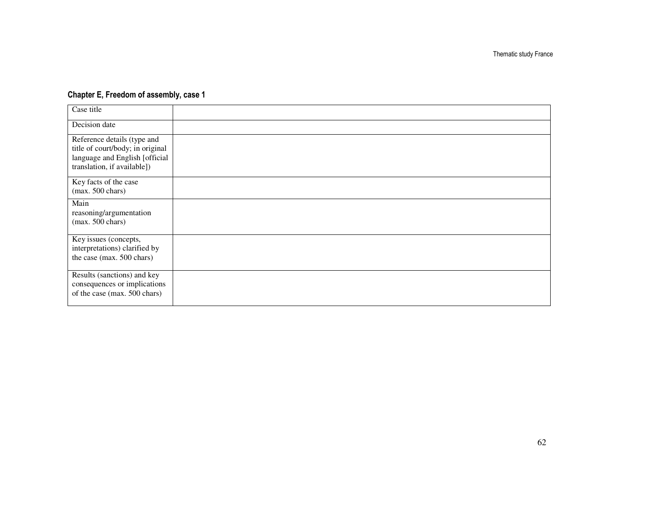#### Chapter E, Freedom of assembly, case 1

| Case title                                                                                                                       |  |
|----------------------------------------------------------------------------------------------------------------------------------|--|
| Decision date                                                                                                                    |  |
| Reference details (type and<br>title of court/body; in original<br>language and English [official<br>translation, if available]) |  |
| Key facts of the case<br>$(max. 500 \text{ chars})$                                                                              |  |
| Main<br>reasoning/argumentation<br>$(max. 500 \text{ chars})$                                                                    |  |
| Key issues (concepts,<br>interpretations) clarified by<br>the case (max. 500 chars)                                              |  |
| Results (sanctions) and key<br>consequences or implications<br>of the case (max. 500 chars)                                      |  |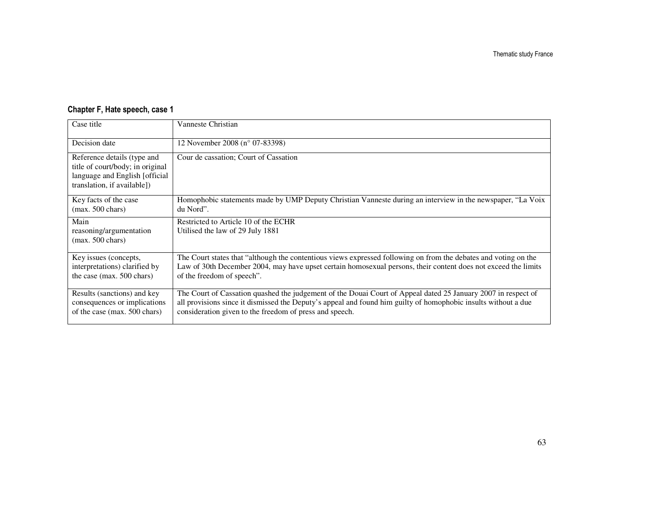| Chapter F, Hate speech, case 1 |  |  |  |  |
|--------------------------------|--|--|--|--|
|--------------------------------|--|--|--|--|

| Case title                                                                                                                       | Vanneste Christian                                                                                                                                                                                                                                                                         |
|----------------------------------------------------------------------------------------------------------------------------------|--------------------------------------------------------------------------------------------------------------------------------------------------------------------------------------------------------------------------------------------------------------------------------------------|
| Decision date                                                                                                                    | 12 November 2008 (n° 07-83398)                                                                                                                                                                                                                                                             |
| Reference details (type and<br>title of court/body; in original<br>language and English [official<br>translation, if available]) | Cour de cassation; Court of Cassation                                                                                                                                                                                                                                                      |
| Key facts of the case<br>$(max. 500 \text{ chars})$                                                                              | Homophobic statements made by UMP Deputy Christian Vanneste during an interview in the newspaper, "La Voix"<br>du Nord".                                                                                                                                                                   |
| Main<br>reasoning/argumentation<br>$(max. 500 \text{ chars})$                                                                    | Restricted to Article 10 of the ECHR<br>Utilised the law of 29 July 1881                                                                                                                                                                                                                   |
| Key issues (concepts,<br>interpretations) clarified by<br>the case (max. 500 chars)                                              | The Court states that "although the contentious views expressed following on from the debates and voting on the<br>Law of 30th December 2004, may have upset certain homosexual persons, their content does not exceed the limits<br>of the freedom of speech".                            |
| Results (sanctions) and key<br>consequences or implications<br>of the case (max. 500 chars)                                      | The Court of Cassation quashed the judgement of the Douai Court of Appeal dated 25 January 2007 in respect of<br>all provisions since it dismissed the Deputy's appeal and found him guilty of homophobic insults without a due<br>consideration given to the freedom of press and speech. |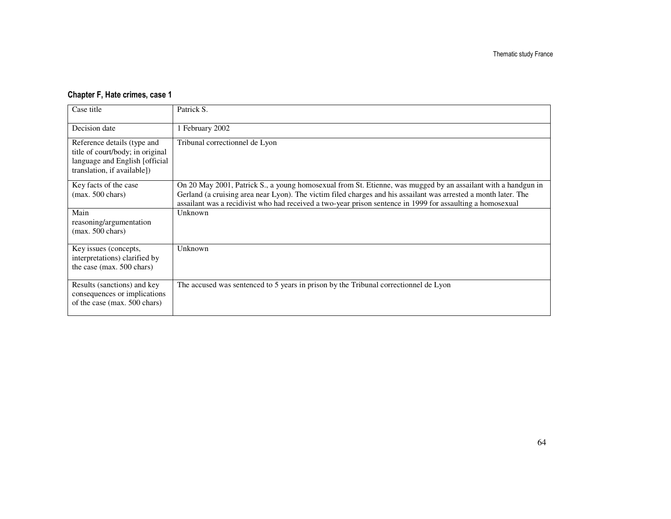#### Chapter F, Hate crimes, case 1

| Case title                                                                                                                       | Patrick S.                                                                                                                                                                                                                                                                                                                                     |
|----------------------------------------------------------------------------------------------------------------------------------|------------------------------------------------------------------------------------------------------------------------------------------------------------------------------------------------------------------------------------------------------------------------------------------------------------------------------------------------|
| Decision date                                                                                                                    | 1 February 2002                                                                                                                                                                                                                                                                                                                                |
| Reference details (type and<br>title of court/body; in original<br>language and English [official<br>translation, if available]) | Tribunal correctionnel de Lyon                                                                                                                                                                                                                                                                                                                 |
| Key facts of the case<br>$(max. 500 \text{ chars})$                                                                              | On 20 May 2001, Patrick S., a young homosexual from St. Etienne, was mugged by an assailant with a handgun in<br>Gerland (a cruising area near Lyon). The victim filed charges and his assailant was arrested a month later. The<br>assailant was a recidivist who had received a two-year prison sentence in 1999 for assaulting a homosexual |
| Main<br>reasoning/argumentation<br>$(max. 500 \text{ chars})$                                                                    | Unknown                                                                                                                                                                                                                                                                                                                                        |
| Key issues (concepts,<br>interpretations) clarified by<br>the case (max. 500 chars)                                              | Unknown                                                                                                                                                                                                                                                                                                                                        |
| Results (sanctions) and key<br>consequences or implications<br>of the case (max. 500 chars)                                      | The accused was sentenced to 5 years in prison by the Tribunal correctionnel de Lyon                                                                                                                                                                                                                                                           |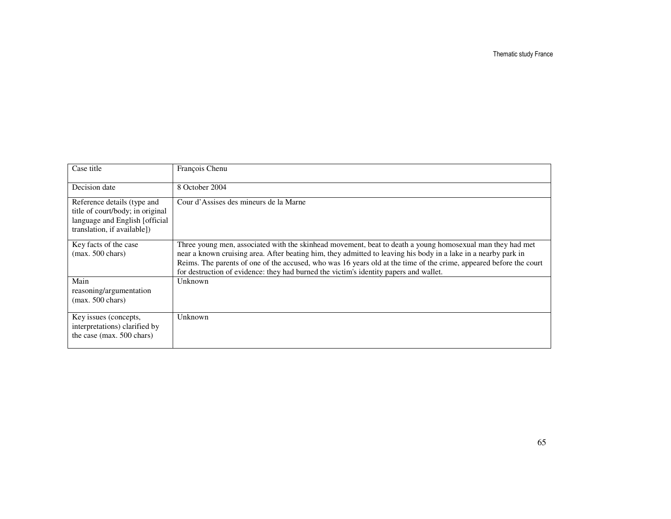Thematic study France

| Case title                                                                                                                       | François Chenu                                                                                                                                                                                                                                                                                                                                                                                                                             |
|----------------------------------------------------------------------------------------------------------------------------------|--------------------------------------------------------------------------------------------------------------------------------------------------------------------------------------------------------------------------------------------------------------------------------------------------------------------------------------------------------------------------------------------------------------------------------------------|
| Decision date                                                                                                                    | 8 October 2004                                                                                                                                                                                                                                                                                                                                                                                                                             |
| Reference details (type and<br>title of court/body; in original<br>language and English [official<br>translation, if available]) | Cour d'Assises des mineurs de la Marne                                                                                                                                                                                                                                                                                                                                                                                                     |
| Key facts of the case<br>$(max. 500 \text{ chars})$                                                                              | Three young men, associated with the skinhead movement, beat to death a young homosexual man they had met<br>near a known cruising area. After beating him, they admitted to leaving his body in a lake in a nearby park in<br>Reims. The parents of one of the accused, who was 16 years old at the time of the crime, appeared before the court<br>for destruction of evidence: they had burned the victim's identity papers and wallet. |
| Main<br>reasoning/argumentation<br>$(max. 500 \text{ chars})$                                                                    | Unknown                                                                                                                                                                                                                                                                                                                                                                                                                                    |
| Key issues (concepts,<br>interpretations) clarified by<br>the case (max. 500 chars)                                              | Unknown                                                                                                                                                                                                                                                                                                                                                                                                                                    |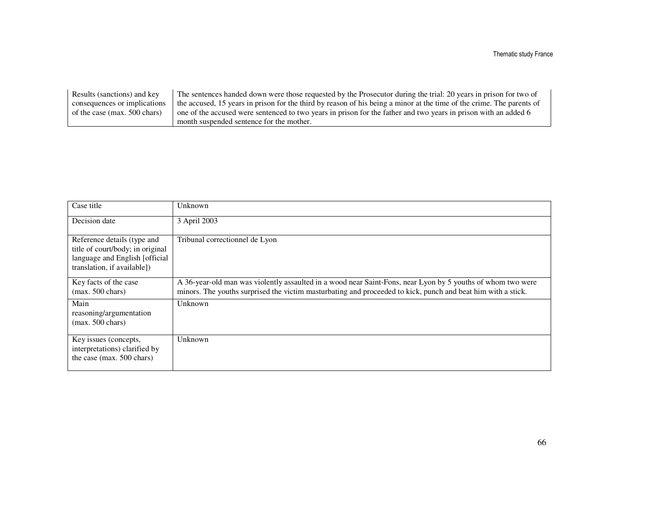| Results (sanctions) and key  | The sentences handed down were those requested by the Prosecutor during the trial: 20 years in prison for two of      |
|------------------------------|-----------------------------------------------------------------------------------------------------------------------|
| consequences or implications | the accused, 15 years in prison for the third by reason of his being a minor at the time of the crime. The parents of |
| of the case (max. 500 chars) | one of the accused were sentenced to two years in prison for the father and two years in prison with an added 6       |
|                              | month suspended sentence for the mother.                                                                              |

| Case title                                                                                                                       | Unknown                                                                                                                                                                                                                     |
|----------------------------------------------------------------------------------------------------------------------------------|-----------------------------------------------------------------------------------------------------------------------------------------------------------------------------------------------------------------------------|
| Decision date                                                                                                                    | 3 April 2003                                                                                                                                                                                                                |
| Reference details (type and<br>title of court/body; in original<br>language and English [official<br>translation, if available]) | Tribunal correctionnel de Lyon                                                                                                                                                                                              |
| Key facts of the case<br>$(max. 500 \text{ chars})$                                                                              | A 36-year-old man was violently assaulted in a wood near Saint-Fons, near Lyon by 5 youths of whom two were<br>minors. The youths surprised the victim masturbating and proceeded to kick, punch and beat him with a stick. |
| Main<br>reasoning/argumentation<br>$(max. 500 \text{ chars})$                                                                    | <b>Unknown</b>                                                                                                                                                                                                              |
| Key issues (concepts,<br>interpretations) clarified by<br>the case (max. 500 chars)                                              | Unknown                                                                                                                                                                                                                     |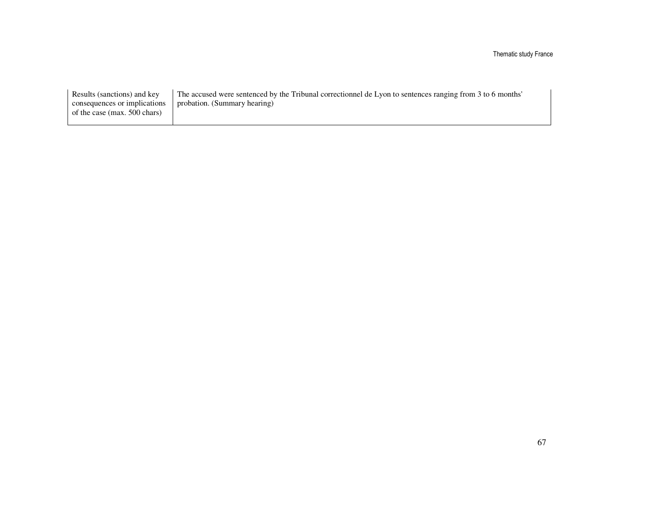Thematic study France

| Results (sanctions) and key  | The accused were sentenced by the Tribunal correctionnel de Lyon to sentences ranging from 3 to 6 months' |
|------------------------------|-----------------------------------------------------------------------------------------------------------|
| consequences or implications | probation. (Summary hearing)                                                                              |
| of the case (max. 500 chars) |                                                                                                           |
|                              |                                                                                                           |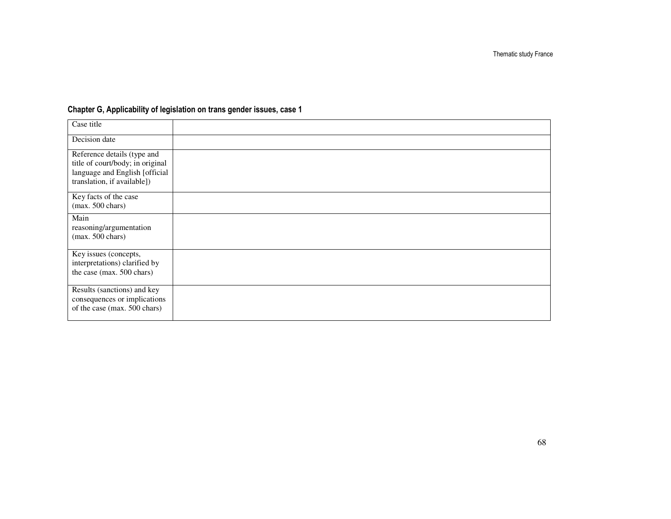| Case title                                                                                                                       |  |
|----------------------------------------------------------------------------------------------------------------------------------|--|
| Decision date                                                                                                                    |  |
| Reference details (type and<br>title of court/body; in original<br>language and English [official<br>translation, if available]) |  |
| Key facts of the case<br>$(max. 500 \text{ chars})$                                                                              |  |
| Main<br>reasoning/argumentation<br>$(max. 500 \text{ chars})$                                                                    |  |
| Key issues (concepts,<br>interpretations) clarified by<br>the case (max. 500 chars)                                              |  |
| Results (sanctions) and key<br>consequences or implications<br>of the case (max. 500 chars)                                      |  |

#### Chapter G, Applicability of legislation on trans gender issues, case 1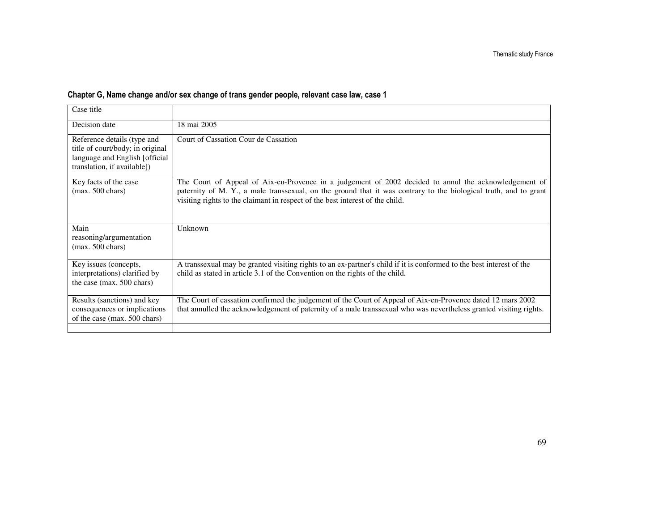#### Chapter G, Name change and/or sex change of trans gender people, relevant case law, case 1

| Case title                                                                                                                       |                                                                                                                                                                                                                                                                                                            |
|----------------------------------------------------------------------------------------------------------------------------------|------------------------------------------------------------------------------------------------------------------------------------------------------------------------------------------------------------------------------------------------------------------------------------------------------------|
| Decision date                                                                                                                    | 18 mai 2005                                                                                                                                                                                                                                                                                                |
| Reference details (type and<br>title of court/body; in original<br>language and English [official<br>translation, if available]) | Court of Cassation Cour de Cassation                                                                                                                                                                                                                                                                       |
| Key facts of the case<br>$(max. 500 \text{ chars})$                                                                              | The Court of Appeal of Aix-en-Provence in a judgement of 2002 decided to annul the acknowledgement of<br>paternity of M. Y., a male transsexual, on the ground that it was contrary to the biological truth, and to grant<br>visiting rights to the claimant in respect of the best interest of the child. |
| Main<br>reasoning/argumentation<br>$(max. 500 \text{ chars})$                                                                    | Unknown                                                                                                                                                                                                                                                                                                    |
| Key issues (concepts,<br>interpretations) clarified by<br>the case (max. 500 chars)                                              | A transsexual may be granted visiting rights to an ex-partner's child if it is conformed to the best interest of the<br>child as stated in article 3.1 of the Convention on the rights of the child.                                                                                                       |
| Results (sanctions) and key<br>consequences or implications<br>of the case (max. 500 chars)                                      | The Court of cassation confirmed the judgement of the Court of Appeal of Aix-en-Provence dated 12 mars 2002<br>that annulled the acknowledgement of paternity of a male transsexual who was nevertheless granted visiting rights.                                                                          |
|                                                                                                                                  |                                                                                                                                                                                                                                                                                                            |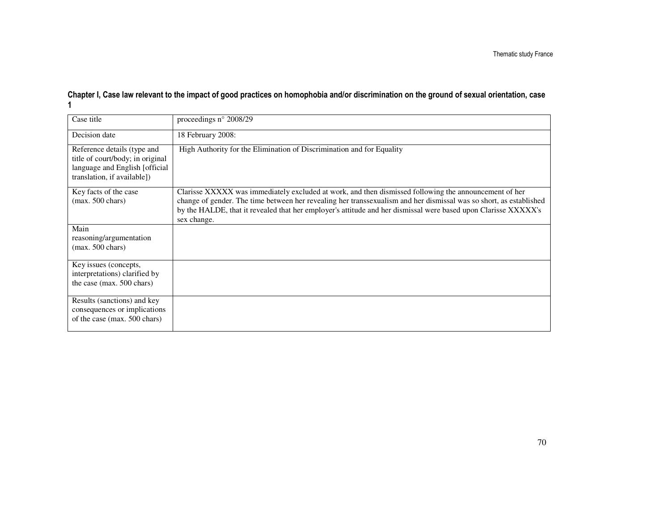## Chapter I, Case law relevant to the impact of good practices on homophobia and/or discrimination on the ground of sexual orientation, case 1

| Case title                                                                                                                        | proceedings n° 2008/29                                                                                                                                                                                                                                                                                                                                       |
|-----------------------------------------------------------------------------------------------------------------------------------|--------------------------------------------------------------------------------------------------------------------------------------------------------------------------------------------------------------------------------------------------------------------------------------------------------------------------------------------------------------|
| Decision date                                                                                                                     | 18 February 2008:                                                                                                                                                                                                                                                                                                                                            |
| Reference details (type and<br>title of court/body; in original<br>language and English [official]<br>translation, if available]) | High Authority for the Elimination of Discrimination and for Equality                                                                                                                                                                                                                                                                                        |
| Key facts of the case<br>$(max. 500 \text{ chars})$                                                                               | Clarisse XXXXX was immediately excluded at work, and then dismissed following the announcement of her<br>change of gender. The time between her revealing her transsexualism and her dismissal was so short, as established<br>by the HALDE, that it revealed that her employer's attitude and her dismissal were based upon Clarisse XXXXX's<br>sex change. |
| Main<br>reasoning/argumentation<br>$(max. 500 \text{ chars})$                                                                     |                                                                                                                                                                                                                                                                                                                                                              |
| Key issues (concepts,<br>interpretations) clarified by<br>the case (max. 500 chars)                                               |                                                                                                                                                                                                                                                                                                                                                              |
| Results (sanctions) and key<br>consequences or implications<br>of the case (max. 500 chars)                                       |                                                                                                                                                                                                                                                                                                                                                              |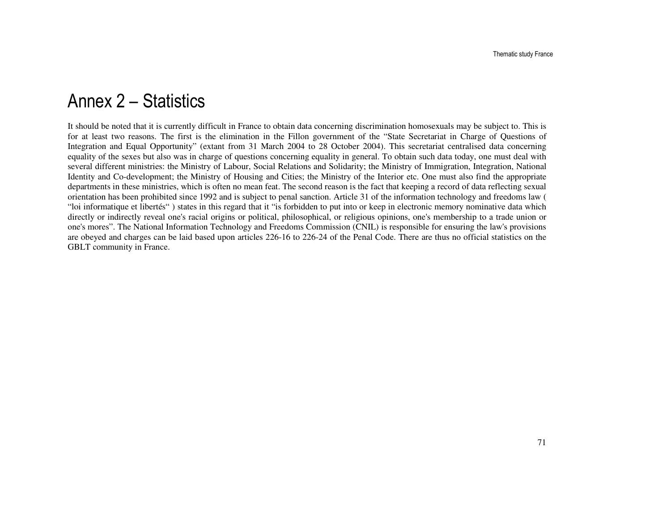### Annex 2 – Statistics

It should be noted that it is currently difficult in France to obtain data concerning discrimination homosexuals may be subject to. This is for at least two reasons. The first is the elimination in the Fillon government of the "State Secretariat in Charge of Questions of Integration and Equal Opportunity" (extant from 31 March 2004 to 28 October 2004). This secretariat centralised data concerning equality of the sexes but also was in charge of questions concerning equality in general. To obtain such data today, one must deal with several different ministries: the Ministry of Labour, Social Relations and Solidarity; the Ministry of Immigration, Integration, National Identity and Co-development; the Ministry of Housing and Cities; the Ministry of the Interior etc. One must also find the appropriate departments in these ministries, which is often no mean feat. The second reason is the fact that keeping a record of data reflecting sexual orientation has been prohibited since 1992 and is subject to penal sanction. Article 31 of the information technology and freedoms law ( "loi informatique et libertés" ) states in this regard that it "is forbidden to put into or keep in electronic memory nominative data which directly or indirectly reveal one's racial origins or political, philosophical, or religious opinions, one's membership to a trade union or one's mores". The National Information Technology and Freedoms Commission (CNIL) is responsible for ensuring the law's provisions are obeyed and charges can be laid based upon articles 226-16 to 226-24 of the Penal Code. There are thus no official statistics on the GBLT community in France.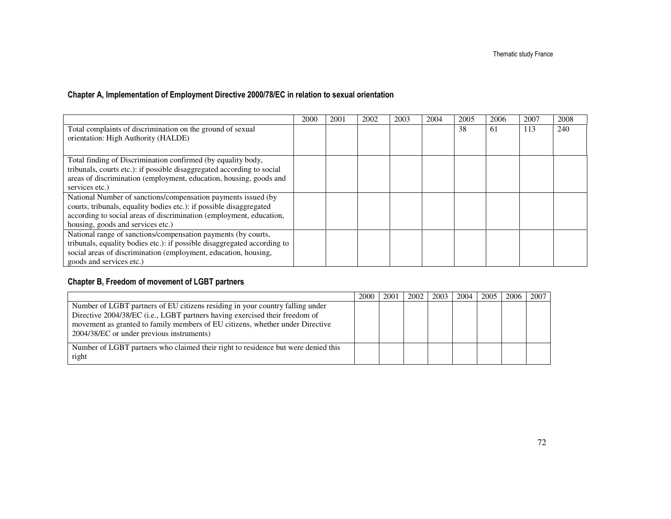#### Chapter A, Implementation of Employment Directive 2000/78/EC in relation to sexual orientation

|                                                                          | 2000 | 2001 | 2002 | 2003 | 2004 | 2005 | 2006 | 2007 | 2008 |
|--------------------------------------------------------------------------|------|------|------|------|------|------|------|------|------|
| Total complaints of discrimination on the ground of sexual               |      |      |      |      |      | 38   | 61   | 113  | 240  |
| orientation: High Authority (HALDE)                                      |      |      |      |      |      |      |      |      |      |
|                                                                          |      |      |      |      |      |      |      |      |      |
| Total finding of Discrimination confirmed (by equality body,             |      |      |      |      |      |      |      |      |      |
| tribunals, courts etc.): if possible disaggregated according to social   |      |      |      |      |      |      |      |      |      |
| areas of discrimination (employment, education, housing, goods and       |      |      |      |      |      |      |      |      |      |
| services etc.)                                                           |      |      |      |      |      |      |      |      |      |
| National Number of sanctions/compensation payments issued (by            |      |      |      |      |      |      |      |      |      |
| courts, tribunals, equality bodies etc.): if possible disaggregated      |      |      |      |      |      |      |      |      |      |
| according to social areas of discrimination (employment, education,      |      |      |      |      |      |      |      |      |      |
| housing, goods and services etc.)                                        |      |      |      |      |      |      |      |      |      |
| National range of sanctions/compensation payments (by courts,            |      |      |      |      |      |      |      |      |      |
| tribunals, equality bodies etc.): if possible disaggregated according to |      |      |      |      |      |      |      |      |      |
| social areas of discrimination (employment, education, housing,          |      |      |      |      |      |      |      |      |      |
| goods and services etc.)                                                 |      |      |      |      |      |      |      |      |      |

#### Chapter B, Freedom of movement of LGBT partners

|                                                                                                                                                              | 2000 | 2001 | 2002 | 2003 | 2004 | 2005 | 2006 | 2007 |
|--------------------------------------------------------------------------------------------------------------------------------------------------------------|------|------|------|------|------|------|------|------|
| Number of LGBT partners of EU citizens residing in your country falling under<br>Directive 2004/38/EC (i.e., LGBT partners having exercised their freedom of |      |      |      |      |      |      |      |      |
| movement as granted to family members of EU citizens, whether under Directive<br>2004/38/EC or under previous instruments)                                   |      |      |      |      |      |      |      |      |
| Number of LGBT partners who claimed their right to residence but were denied this<br>right                                                                   |      |      |      |      |      |      |      |      |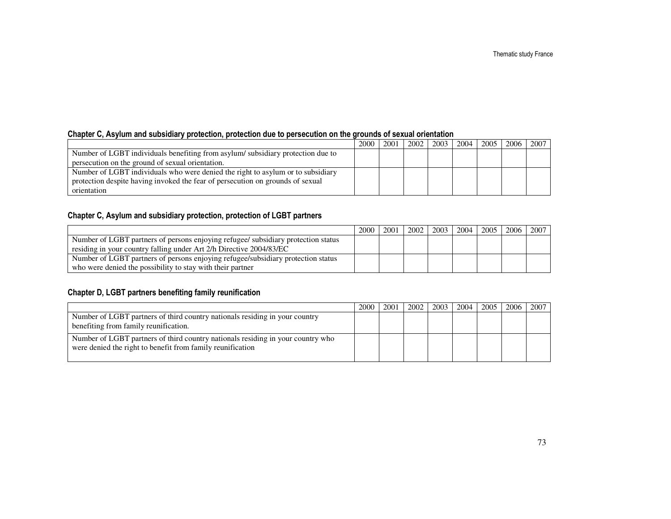## Chapter C, Asylum and subsidiary protection, protection due to persecution on the grounds of sexual orientation

|                                                                                 | 2000 | 2001 | 2002 | 2003 | 2004 | 2005 | 2006 | 2007 |
|---------------------------------------------------------------------------------|------|------|------|------|------|------|------|------|
| Number of LGBT individuals benefiting from asylum/subsidiary protection due to  |      |      |      |      |      |      |      |      |
| persecution on the ground of sexual orientation.                                |      |      |      |      |      |      |      |      |
| Number of LGBT individuals who were denied the right to asylum or to subsidiary |      |      |      |      |      |      |      |      |
| protection despite having invoked the fear of persecution on grounds of sexual  |      |      |      |      |      |      |      |      |
| orientation                                                                     |      |      |      |      |      |      |      |      |

## Chapter C, Asylum and subsidiary protection, protection of LGBT partners

|                                                                                   | 2000 | 2001 | 2002 | 2003 | 2004 | 2005   2006 | 2007 |
|-----------------------------------------------------------------------------------|------|------|------|------|------|-------------|------|
| Number of LGBT partners of persons enjoying refugee/ subsidiary protection status |      |      |      |      |      |             |      |
| residing in your country falling under Art 2/h Directive 2004/83/EC               |      |      |      |      |      |             |      |
| Number of LGBT partners of persons enjoying refugee/subsidiary protection status  |      |      |      |      |      |             |      |
| who were denied the possibility to stay with their partner                        |      |      |      |      |      |             |      |

## Chapter D, LGBT partners benefiting family reunification

|                                                                                                                                               | 2000 | 2001 | 2002 | 2003 | 2004 | $2005$ 1 | 2006 l | 2007 |
|-----------------------------------------------------------------------------------------------------------------------------------------------|------|------|------|------|------|----------|--------|------|
| Number of LGBT partners of third country nationals residing in your country<br>benefiting from family reunification.                          |      |      |      |      |      |          |        |      |
| Number of LGBT partners of third country nationals residing in your country who<br>were denied the right to benefit from family reunification |      |      |      |      |      |          |        |      |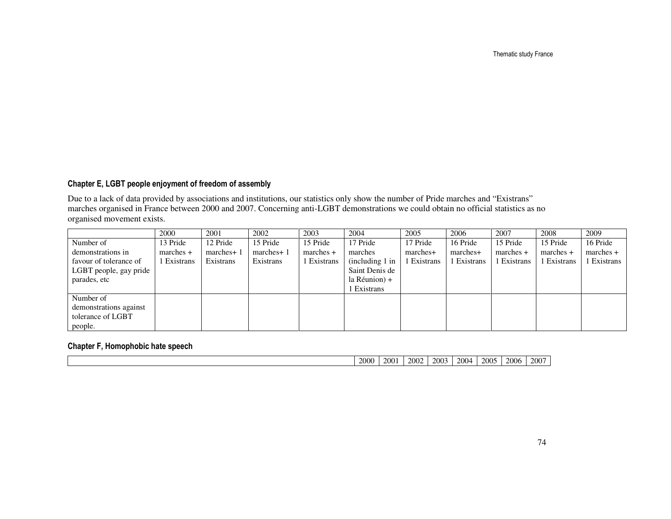Thematic study France

#### Chapter E, LGBT people enjoyment of freedom of assembly

Due to a lack of data provided by associations and institutions, our statistics only show the number of Pride marches and "Existrans" marches organised in France between 2000 and 2007. Concerning anti-LGBT demonstrations we could obtain no official statistics as no organised movement exists.

|                        | 2000        | 2001       | 2002      | 2003        | 2004            | 2005        | 2006      | 2007        | 2008        | 2009        |
|------------------------|-------------|------------|-----------|-------------|-----------------|-------------|-----------|-------------|-------------|-------------|
| Number of              | 13 Pride    | 12 Pride   | 15 Pride  | 15 Pride    | 17 Pride        | 17 Pride    | 16 Pride  | 15 Pride    | 15 Pride    | 16 Pride    |
| demonstrations in      | $marches +$ | marches+ 1 | marches+1 | $marches +$ | marches         | marches+    | marches+  | $marches +$ | $marches +$ | $marches +$ |
| favour of tolerance of | l Existrans | Existrans  | Existrans | 1 Existrans | (including 1 in | l Existrans | Existrans | Existrans   | Existrans   | Existrans   |
| LGBT people, gay pride |             |            |           |             | Saint Denis de  |             |           |             |             |             |
| parades, etc           |             |            |           |             | la Réunion) +   |             |           |             |             |             |
|                        |             |            |           |             | Existrans       |             |           |             |             |             |
| Number of              |             |            |           |             |                 |             |           |             |             |             |
| demonstrations against |             |            |           |             |                 |             |           |             |             |             |
| tolerance of LGBT      |             |            |           |             |                 |             |           |             |             |             |
| people.                |             |            |           |             |                 |             |           |             |             |             |

## Chapter F, Homophobic hate speech

| 2000 | 2001 | 2002 | 2003 | 2004 | 2005 | 2006 | $-200^{-}$ |
|------|------|------|------|------|------|------|------------|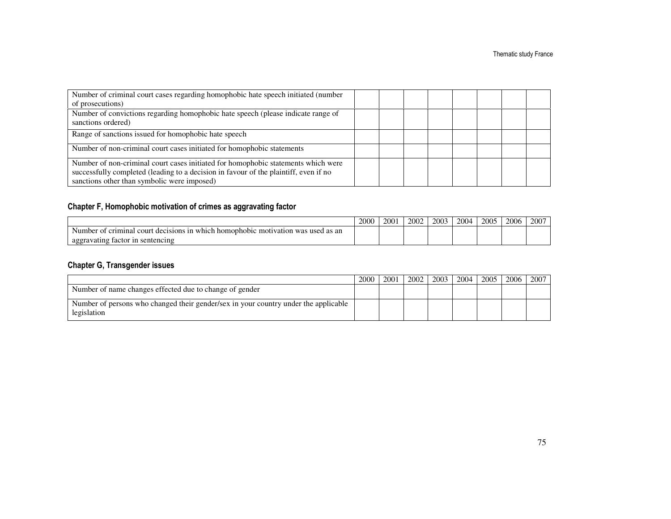| Number of criminal court cases regarding homophobic hate speech initiated (number                                                                                         |  |  |  |  |
|---------------------------------------------------------------------------------------------------------------------------------------------------------------------------|--|--|--|--|
| of prosecutions)                                                                                                                                                          |  |  |  |  |
| Number of convictions regarding homophobic hate speech (please indicate range of<br>sanctions ordered)                                                                    |  |  |  |  |
| Range of sanctions issued for homophobic hate speech                                                                                                                      |  |  |  |  |
| Number of non-criminal court cases initiated for homophobic statements                                                                                                    |  |  |  |  |
| Number of non-criminal court cases initiated for homophobic statements which were<br>successfully completed (leading to a decision in favour of the plaintiff, even if no |  |  |  |  |
| sanctions other than symbolic were imposed)                                                                                                                               |  |  |  |  |

# Chapter F, Homophobic motivation of crimes as aggravating factor

|                                                                                                                              | 2000 | 2001 | 2002 | 2003 | 2004 | 2005 | 2006 | $200^{\circ}$ |
|------------------------------------------------------------------------------------------------------------------------------|------|------|------|------|------|------|------|---------------|
| criminal c<br>Number<br>court<br>) homophobic<br>mot<br>ın<br>tivation<br>was<br>decisions<br>which.<br>as an<br>∵used<br>ОT |      |      |      |      |      |      |      |               |
| gravating factor<br>sentencing<br>1n<br>aggray                                                                               |      |      |      |      |      |      |      |               |

# Chapter G, Transgender issues

|                                                                                                    | 2000 | 2001 | 2002 | 2003 | 2004 | 2005 | 2006 | 2007 |
|----------------------------------------------------------------------------------------------------|------|------|------|------|------|------|------|------|
| Number of name changes effected due to change of gender                                            |      |      |      |      |      |      |      |      |
| Number of persons who changed their gender/sex in your country under the applicable<br>legislation |      |      |      |      |      |      |      |      |